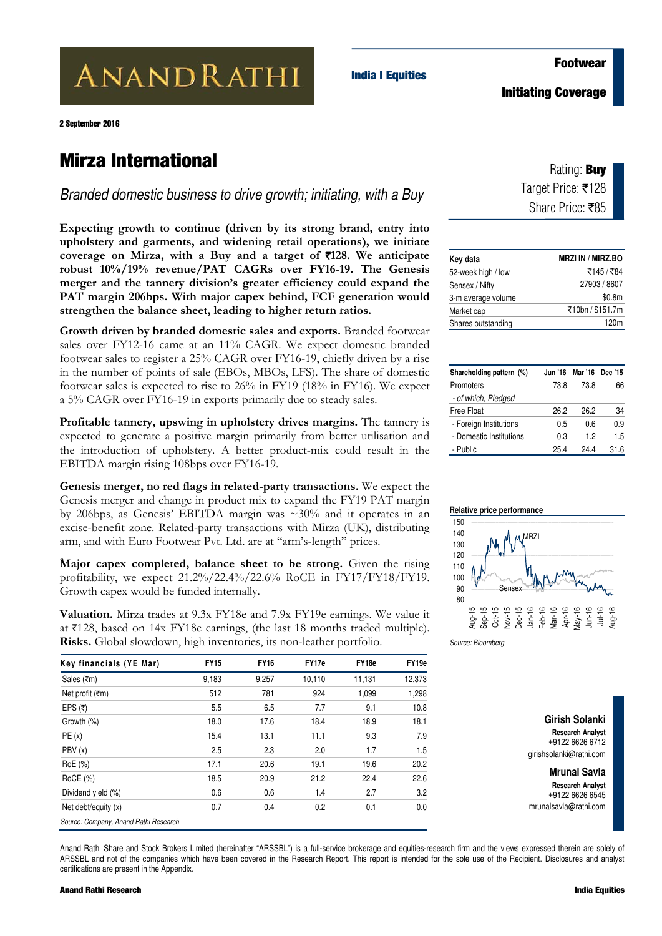**ANANDRATHI** 

2 September 2016

### **Mirza International**

*Branded domestic business to drive growth; initiating, with a Buy* 

**India I Equities** 

**Expecting growth to continue (driven by its strong brand, entry into upholstery and garments, and widening retail operations), we initiate coverage on Mirza, with a Buy and a target of** `**128. We anticipate robust 10%/19% revenue/PAT CAGRs over FY16-19. The Genesis merger and the tannery division's greater efficiency could expand the PAT margin 206bps. With major capex behind, FCF generation would strengthen the balance sheet, leading to higher return ratios.** 

**Growth driven by branded domestic sales and exports.** Branded footwear sales over FY12-16 came at an 11% CAGR. We expect domestic branded footwear sales to register a 25% CAGR over FY16-19, chiefly driven by a rise in the number of points of sale (EBOs, MBOs, LFS). The share of domestic footwear sales is expected to rise to 26% in FY19 (18% in FY16). We expect a 5% CAGR over FY16-19 in exports primarily due to steady sales.

**Profitable tannery, upswing in upholstery drives margins.** The tannery is expected to generate a positive margin primarily from better utilisation and the introduction of upholstery. A better product-mix could result in the EBITDA margin rising 108bps over FY16-19.

**Genesis merger, no red flags in related-party transactions.** We expect the Genesis merger and change in product mix to expand the FY19 PAT margin by 206bps, as Genesis' EBITDA margin was ~30% and it operates in an excise-benefit zone. Related-party transactions with Mirza (UK), distributing arm, and with Euro Footwear Pvt. Ltd. are at "arm's-length" prices.

` **Major capex completed, balance sheet to be strong.** Given the rising profitability, we expect 21.2%/22.4%/22.6% RoCE in FY17/FY18/FY19. Growth capex would be funded internally.

**Valuation.** Mirza trades at 9.3x FY18e and 7.9x FY19e earnings. We value it at  $\overline{5}128$ , based on 14x FY18e earnings, (the last 18 months traded multiple). **Risks.** Global slowdown, high inventories, its non-leather portfolio.

| <b>FY15</b> | <b>FY16</b> | FY17e  | FY18e  | FY19e  |
|-------------|-------------|--------|--------|--------|
| 9,183       | 9,257       | 10,110 | 11,131 | 12,373 |
| 512         | 781         | 924    | 1,099  | 1,298  |
| 5.5         | 6.5         | 7.7    | 9.1    | 10.8   |
| 18.0        | 17.6        | 18.4   | 18.9   | 18.1   |
| 15.4        | 13.1        | 11.1   | 9.3    | 7.9    |
| 2.5         | 2.3         | 2.0    | 1.7    | 1.5    |
| 17.1        | 20.6        | 19.1   | 19.6   | 20.2   |
| 18.5        | 20.9        | 21.2   | 22.4   | 22.6   |
| 0.6         | 0.6         | 1.4    | 2.7    | 3.2    |
| 0.7         | 0.4         | 0.2    | 0.1    | 0.0    |
|             |             |        |        |        |

Rating: **Buy**

Target Price: ₹128 Share Price: ₹85

| Key data           | <b>MRZI IN / MIRZ.BO</b> |
|--------------------|--------------------------|
| 52-week high / low | ₹145 / ₹84               |
| Sensex / Nifty     | 27903 / 8607             |
| 3-m average volume | \$0.8m                   |
| Market cap         | ₹10bn / \$151.7m         |
| Shares outstanding | 120m                     |

| Shareholding pattern (%) | Jun '16 | Mar '16 | Dec '15 |
|--------------------------|---------|---------|---------|
| Promoters                | 73.8    | 73.8    | 66      |
| - of which, Pledged      |         |         |         |
| <b>Free Float</b>        | 26.2    | 26.2    | 34      |
| - Foreign Institutions   | 0.5     | 0.6     | 0.9     |
| - Domestic Institutions  | 0.3     | 12      | 1.5     |
| - Public                 | 25.4    | 244     | 31.6    |



*Source: Bloomberg* 

**Girish Solanki Research Analyst**  +9122 6626 6712 girishsolanki@rathi.com

**Mrunal Savla Research Analyst**  +9122 6626 6545 mrunalsavla@rathi.com

Anand Rathi Share and Stock Brokers Limited (hereinafter "ARSSBL") is a full-service brokerage and equities-research firm and the views expressed therein are solely of ARSSBL and not of the companies which have been covered in the Research Report. This report is intended for the sole use of the Recipient. Disclosures and analyst certifications are present in the Appendix.

#### **Footwear**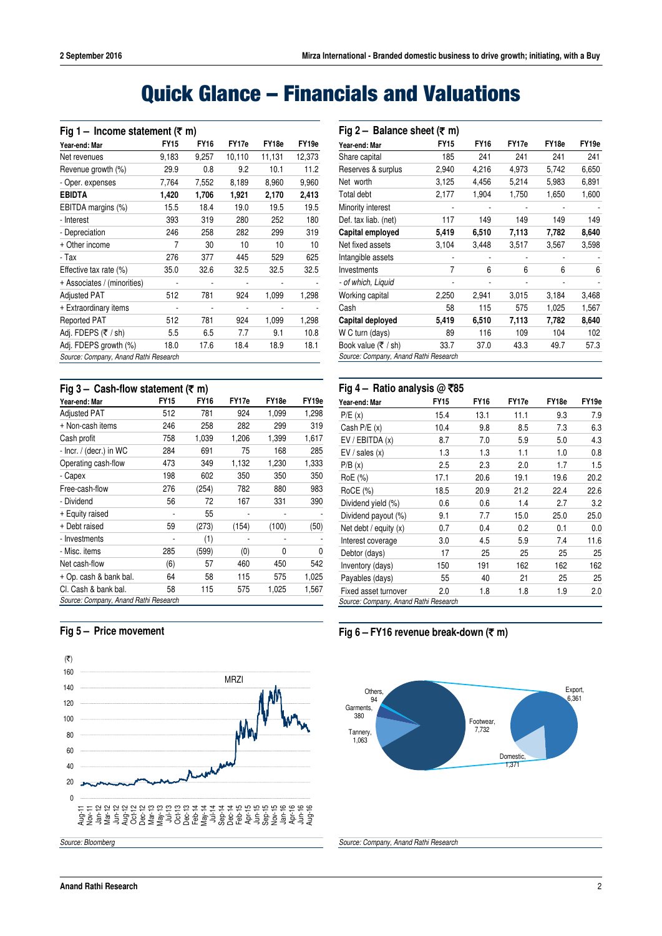# **Quick Glance – Financials and Valuations**

| Fig 1 – Income statement ( $\overline{\tau}$ m) |             |             |        |        |                   |  |  |  |  |  |  |
|-------------------------------------------------|-------------|-------------|--------|--------|-------------------|--|--|--|--|--|--|
| Year-end: Mar                                   | <b>FY15</b> | <b>FY16</b> | FY17e  | FY18e  | FY <sub>19e</sub> |  |  |  |  |  |  |
| Net revenues                                    | 9,183       | 9,257       | 10,110 | 11,131 | 12,373            |  |  |  |  |  |  |
| Revenue growth (%)                              | 29.9        | 0.8         | 9.2    | 10.1   | 11.2              |  |  |  |  |  |  |
| - Oper. expenses                                | 7,764       | 7,552       | 8,189  | 8,960  | 9,960             |  |  |  |  |  |  |
| <b>EBIDTA</b>                                   | 1,420       | 1,706       | 1,921  | 2,170  | 2,413             |  |  |  |  |  |  |
| EBITDA margins (%)                              | 15.5        | 18.4        | 19.0   | 19.5   | 19.5              |  |  |  |  |  |  |
| - Interest                                      | 393         | 319         | 280    | 252    | 180               |  |  |  |  |  |  |
| - Depreciation                                  | 246         | 258         | 282    | 299    | 319               |  |  |  |  |  |  |
| + Other income                                  | 7           | 30          | 10     | 10     | 10                |  |  |  |  |  |  |
| - Tax                                           | 276         | 377         | 445    | 529    | 625               |  |  |  |  |  |  |
| Effective tax rate (%)                          | 35.0        | 32.6        | 32.5   | 32.5   | 32.5              |  |  |  |  |  |  |
| + Associates / (minorities)                     |             |             |        |        |                   |  |  |  |  |  |  |
| Adjusted PAT                                    | 512         | 781         | 924    | 1,099  | 1,298             |  |  |  |  |  |  |
| + Extraordinary items                           | ٠           | ٠           | ٠      |        |                   |  |  |  |  |  |  |
| <b>Reported PAT</b>                             | 512         | 781         | 924    | 1,099  | 1,298             |  |  |  |  |  |  |
| Adj. FDEPS (₹ / sh)                             | 5.5         | 6.5         | 7.7    | 9.1    | 10.8              |  |  |  |  |  |  |
| Adj. FDEPS growth (%)                           | 18.0        | 17.6        | 18.4   | 18.9   | 18.1              |  |  |  |  |  |  |
| Source: Company, Anand Rathi Research           |             |             |        |        |                   |  |  |  |  |  |  |

#### **Fig 3 – Cash-flow statement (**` **m)**

| Year-end: Mar                         | <b>FY15</b> | <b>FY16</b> | FY17e | FY <sub>18e</sub> | FY19e |
|---------------------------------------|-------------|-------------|-------|-------------------|-------|
| <b>Adjusted PAT</b>                   | 512         | 781         | 924   | 1,099             | 1,298 |
| + Non-cash items                      | 246         | 258         | 282   | 299               | 319   |
| Cash profit                           | 758         | 1,039       | 1,206 | 1,399             | 1.617 |
| - Incr. / (decr.) in WC               | 284         | 691         | 75    | 168               | 285   |
| Operating cash-flow                   | 473         | 349         | 1,132 | 1,230             | 1,333 |
| - Capex                               | 198         | 602         | 350   | 350               | 350   |
| Free-cash-flow                        | 276         | (254)       | 782   | 880               | 983   |
| - Dividend                            | 56          | 72          | 167   | 331               | 390   |
| + Equity raised                       |             | 55          |       |                   |       |
| + Debt raised                         | 59          | (273)       | (154) | (100)             | (50)  |
| - Investments                         | -           | (1)         |       |                   |       |
| - Misc. items                         | 285         | (599)       | (0)   | 0                 | 0     |
| Net cash-flow                         | (6)         | 57          | 460   | 450               | 542   |
| + Op. cash & bank bal.                | 64          | 58          | 115   | 575               | 1.025 |
| CI. Cash & bank bal.                  | 58          | 115         | 575   | 1,025             | 1,567 |
| Source: Company, Anand Rathi Research |             |             |       |                   |       |

#### **Fig 5 – Price movement**



|                                       | Fig 2 - Balance sheet ( $\overline{\tau}$ m) |             |       |       |       |  |  |  |  |  |  |  |
|---------------------------------------|----------------------------------------------|-------------|-------|-------|-------|--|--|--|--|--|--|--|
| Year-end: Mar                         | <b>FY15</b>                                  | <b>FY16</b> | FY17e | FY18e | FY19e |  |  |  |  |  |  |  |
| Share capital                         | 185                                          | 241         | 241   | 241   | 241   |  |  |  |  |  |  |  |
| Reserves & surplus                    | 2,940                                        | 4,216       | 4,973 | 5,742 | 6,650 |  |  |  |  |  |  |  |
| Net worth                             | 3,125                                        | 4,456       | 5,214 | 5,983 | 6,891 |  |  |  |  |  |  |  |
| Total debt                            | 2,177                                        | 1,904       | 1,750 | 1,650 | 1,600 |  |  |  |  |  |  |  |
| Minority interest                     |                                              |             |       |       |       |  |  |  |  |  |  |  |
| Def. tax liab. (net)                  | 117                                          | 149         | 149   | 149   | 149   |  |  |  |  |  |  |  |
| Capital employed                      | 5,419                                        | 6,510       | 7,113 | 7,782 | 8,640 |  |  |  |  |  |  |  |
| Net fixed assets                      | 3,104                                        | 3,448       | 3,517 | 3,567 | 3,598 |  |  |  |  |  |  |  |
| Intangible assets                     |                                              |             |       |       |       |  |  |  |  |  |  |  |
| Investments                           | 7                                            | 6           | 6     | 6     | 6     |  |  |  |  |  |  |  |
| - of which, Liquid                    |                                              |             |       |       |       |  |  |  |  |  |  |  |
| Working capital                       | 2,250                                        | 2,941       | 3,015 | 3,184 | 3,468 |  |  |  |  |  |  |  |
| Cash                                  | 58                                           | 115         | 575   | 1,025 | 1,567 |  |  |  |  |  |  |  |
| Capital deployed                      | 5,419                                        | 6,510       | 7,113 | 7,782 | 8,640 |  |  |  |  |  |  |  |
| W C turn (days)                       | 89                                           | 116         | 109   | 104   | 102   |  |  |  |  |  |  |  |
| Book value $(\overline{\tau}/sh)$     | 33.7                                         | 37.0        | 43.3  | 49.7  | 57.3  |  |  |  |  |  |  |  |
| Source: Company, Anand Rathi Research |                                              |             |       |       |       |  |  |  |  |  |  |  |

#### **Fig 4 – Ratio analysis @** `**85**

| Year-end: Mar                         | <b>FY15</b> | <b>FY16</b> | FY17e | FY18e | FY19e |
|---------------------------------------|-------------|-------------|-------|-------|-------|
| P/E(x)                                | 15.4        | 13.1        | 11.1  | 9.3   | 7.9   |
| Cash $P/E(x)$                         | 10.4        | 9.8         | 8.5   | 7.3   | 6.3   |
| EV / EBITDA(x)                        | 8.7         | 7.0         | 5.9   | 5.0   | 4.3   |
| EV / sales(x)                         | 1.3         | 1.3         | 1.1   | 1.0   | 0.8   |
| P/B(x)                                | 2.5         | 2.3         | 2.0   | 1.7   | 1.5   |
| RoE (%)                               | 17.1        | 20.6        | 19.1  | 19.6  | 20.2  |
| RoCE (%)                              | 18.5        | 20.9        | 21.2  | 22.4  | 22.6  |
| Dividend yield (%)                    | 0.6         | 0.6         | 1.4   | 2.7   | 3.2   |
| Dividend payout (%)                   | 9.1         | 7.7         | 15.0  | 25.0  | 25.0  |
| Net debt / equity $(x)$               | 0.7         | 0.4         | 0.2   | 0.1   | 0.0   |
| Interest coverage                     | 3.0         | 4.5         | 5.9   | 7.4   | 11.6  |
| Debtor (days)                         | 17          | 25          | 25    | 25    | 25    |
| Inventory (days)                      | 150         | 191         | 162   | 162   | 162   |
| Payables (days)                       | 55          | 40          | 21    | 25    | 25    |
| Fixed asset turnover                  | 2.0         | 1.8         | 1.8   | 1.9   | 2.0   |
| Source: Company, Anand Rathi Research |             |             |       |       |       |

**Fig 6 – FY16 revenue break-down (**` **m)**



*Source: Company, Anand Rathi Research*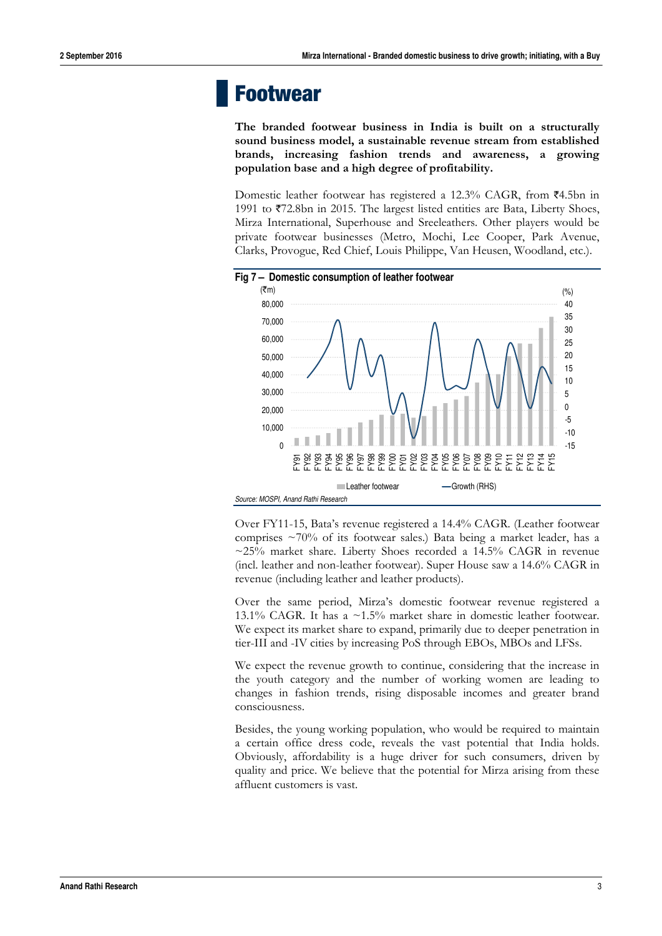### **Footwear**

**The branded footwear business in India is built on a structurally sound business model, a sustainable revenue stream from established brands, increasing fashion trends and awareness, a growing population base and a high degree of profitability.** 

Domestic leather footwear has registered a 12.3% CAGR, from  $\overline{z}$ 4.5bn in 1991 to  $\overline{572.8}$ bn in 2015. The largest listed entities are Bata, Liberty Shoes, Mirza International, Superhouse and Sreeleathers. Other players would be private footwear businesses (Metro, Mochi, Lee Cooper, Park Avenue, Clarks, Provogue, Red Chief, Louis Philippe, Van Heusen, Woodland, etc.).



Over FY11-15, Bata's revenue registered a 14.4% CAGR. (Leather footwear comprises ~70% of its footwear sales.) Bata being a market leader, has a  $\sim$ 25% market share. Liberty Shoes recorded a 14.5% CAGR in revenue (incl. leather and non-leather footwear). Super House saw a 14.6% CAGR in revenue (including leather and leather products).

Over the same period, Mirza's domestic footwear revenue registered a 13.1% CAGR. It has a ~1.5% market share in domestic leather footwear. We expect its market share to expand, primarily due to deeper penetration in tier-III and -IV cities by increasing PoS through EBOs, MBOs and LFSs.

We expect the revenue growth to continue, considering that the increase in the youth category and the number of working women are leading to changes in fashion trends, rising disposable incomes and greater brand consciousness.

Besides, the young working population, who would be required to maintain a certain office dress code, reveals the vast potential that India holds. Obviously, affordability is a huge driver for such consumers, driven by quality and price. We believe that the potential for Mirza arising from these affluent customers is vast.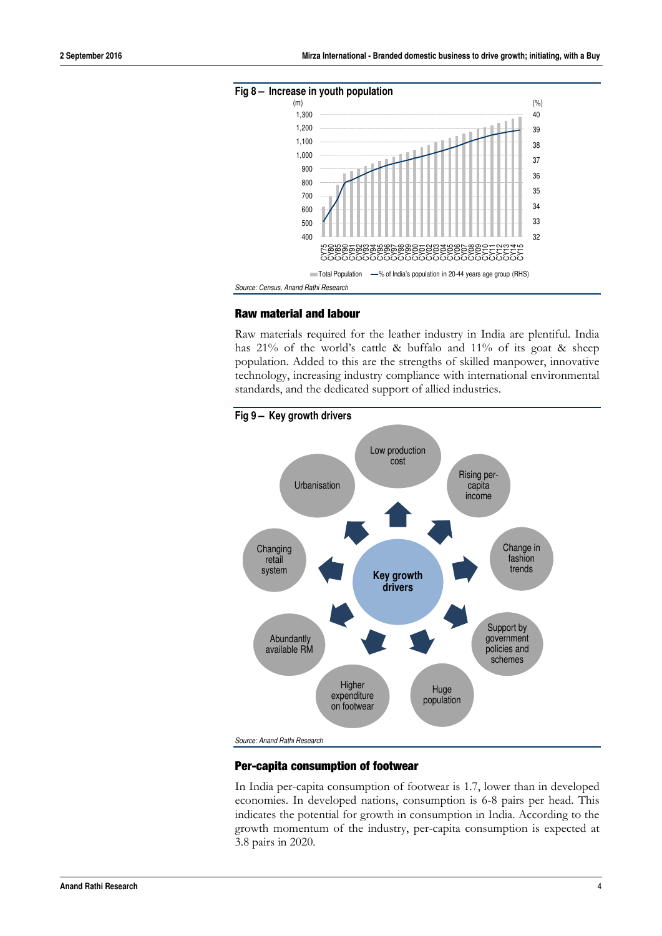

#### **Raw material and labour**

Raw materials required for the leather industry in India are plentiful. India has 21% of the world's cattle & buffalo and 11% of its goat & sheep population. Added to this are the strengths of skilled manpower, innovative technology, increasing industry compliance with international environmental standards, and the dedicated support of allied industries.



#### **Per-capita consumption of footwear**

In India per-capita consumption of footwear is 1.7, lower than in developed economies. In developed nations, consumption is 6-8 pairs per head. This indicates the potential for growth in consumption in India. According to the growth momentum of the industry, per-capita consumption is expected at 3.8 pairs in 2020.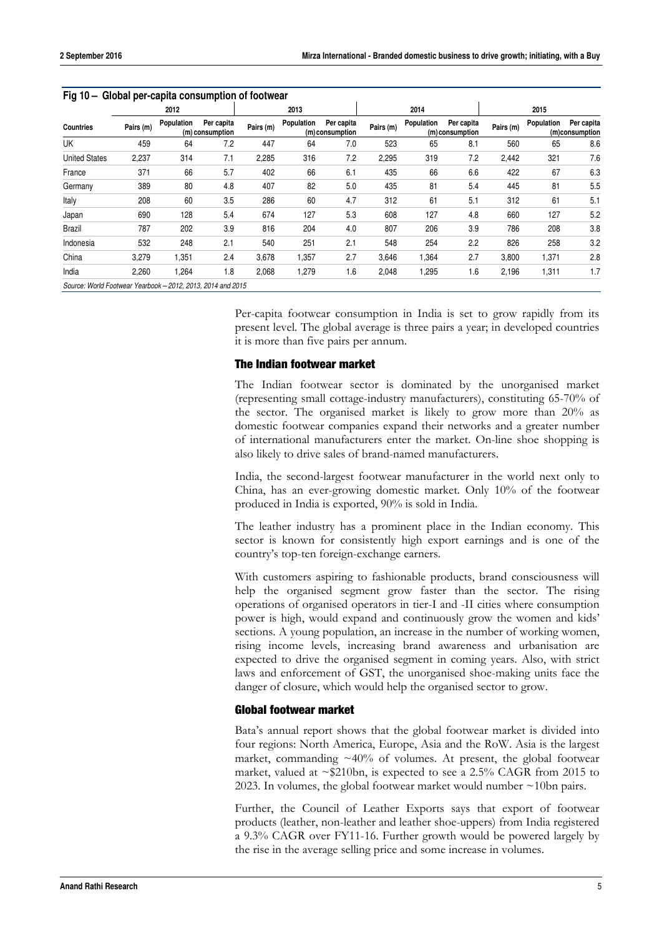|                      | Fig 10 - Global per-capita consumption of footwear<br>2012 |            |                               | 2013      |            |                               | 2014      |            |                               | 2015      |            |                              |
|----------------------|------------------------------------------------------------|------------|-------------------------------|-----------|------------|-------------------------------|-----------|------------|-------------------------------|-----------|------------|------------------------------|
| <b>Countries</b>     | Pairs (m)                                                  | Population | Per capita<br>(m) consumption | Pairs (m) | Population | Per capita<br>(m) consumption | Pairs (m) | Population | Per capita<br>(m) consumption | Pairs (m) | Population | Per capita<br>(m)consumption |
| UK                   | 459                                                        | 64         | 7.2                           | 447       | 64         | 7.0                           | 523       | 65         | 8.1                           | 560       | 65         | 8.6                          |
| <b>United States</b> | 2,237                                                      | 314        | 7.1                           | 2,285     | 316        | 7.2                           | 2,295     | 319        | 7.2                           | 2,442     | 321        | 7.6                          |
| France               | 371                                                        | 66         | 5.7                           | 402       | 66         | 6.1                           | 435       | 66         | 6.6                           | 422       | 67         | 6.3                          |
| Germany              | 389                                                        | 80         | 4.8                           | 407       | 82         | 5.0                           | 435       | 81         | 5.4                           | 445       | 81         | 5.5                          |
| Italy                | 208                                                        | 60         | 3.5                           | 286       | 60         | 4.7                           | 312       | 61         | 5.1                           | 312       | 61         | 5.1                          |
| Japan                | 690                                                        | 128        | 5.4                           | 674       | 127        | 5.3                           | 608       | 127        | 4.8                           | 660       | 127        | 5.2                          |
| Brazil               | 787                                                        | 202        | 3.9                           | 816       | 204        | 4.0                           | 807       | 206        | 3.9                           | 786       | 208        | 3.8                          |
| Indonesia            | 532                                                        | 248        | 2.1                           | 540       | 251        | 2.1                           | 548       | 254        | 2.2                           | 826       | 258        | 3.2                          |
| China                | 3,279                                                      | 1,351      | 2.4                           | 3,678     | 1.357      | 2.7                           | 3,646     | 1,364      | 2.7                           | 3.800     | 1,371      | 2.8                          |
| India                | 2,260                                                      | 1,264      | 1.8                           | 2,068     | 1,279      | 1.6                           | 2,048     | 1,295      | 1.6                           | 2,196     | 1,311      | 1.7                          |

*Source: World Footwear Yearbook – 2012, 2013, 2014 and 2015* 

Per-capita footwear consumption in India is set to grow rapidly from its present level. The global average is three pairs a year; in developed countries it is more than five pairs per annum.

#### **The Indian footwear market**

The Indian footwear sector is dominated by the unorganised market (representing small cottage-industry manufacturers), constituting 65-70% of the sector. The organised market is likely to grow more than 20% as domestic footwear companies expand their networks and a greater number of international manufacturers enter the market. On-line shoe shopping is also likely to drive sales of brand-named manufacturers.

India, the second-largest footwear manufacturer in the world next only to China, has an ever-growing domestic market. Only 10% of the footwear produced in India is exported, 90% is sold in India.

The leather industry has a prominent place in the Indian economy. This sector is known for consistently high export earnings and is one of the country's top-ten foreign-exchange earners.

With customers aspiring to fashionable products, brand consciousness will help the organised segment grow faster than the sector. The rising operations of organised operators in tier-I and -II cities where consumption power is high, would expand and continuously grow the women and kids' sections. A young population, an increase in the number of working women, rising income levels, increasing brand awareness and urbanisation are expected to drive the organised segment in coming years. Also, with strict laws and enforcement of GST, the unorganised shoe-making units face the danger of closure, which would help the organised sector to grow.

#### **Global footwear market**

Bata's annual report shows that the global footwear market is divided into four regions: North America, Europe, Asia and the RoW. Asia is the largest market, commanding  $\sim$ 40% of volumes. At present, the global footwear market, valued at  $\sim$ \$210bn, is expected to see a 2.5% CAGR from 2015 to 2023. In volumes, the global footwear market would number  $\sim$ 10bn pairs.

Further, the Council of Leather Exports says that export of footwear products (leather, non-leather and leather shoe-uppers) from India registered a 9.3% CAGR over FY11-16. Further growth would be powered largely by the rise in the average selling price and some increase in volumes.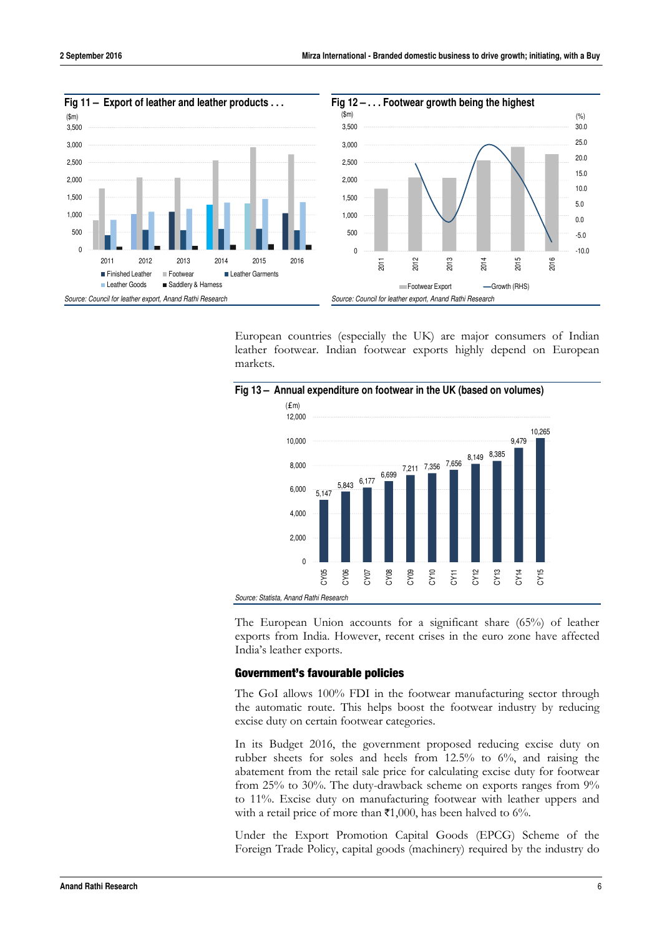

European countries (especially the UK) are major consumers of Indian leather footwear. Indian footwear exports highly depend on European markets.



**Fig 13 – Annual expenditure on footwear in the UK (based on volumes)** 

The European Union accounts for a significant share (65%) of leather exports from India. However, recent crises in the euro zone have affected India's leather exports.

#### **Government's favourable policies**

The GoI allows 100% FDI in the footwear manufacturing sector through the automatic route. This helps boost the footwear industry by reducing excise duty on certain footwear categories.

In its Budget 2016, the government proposed reducing excise duty on rubber sheets for soles and heels from 12.5% to 6%, and raising the abatement from the retail sale price for calculating excise duty for footwear from 25% to 30%. The duty-drawback scheme on exports ranges from 9% to 11%. Excise duty on manufacturing footwear with leather uppers and with a retail price of more than  $\bar{\mathbf{z}}$ 1,000, has been halved to 6%.

Under the Export Promotion Capital Goods (EPCG) Scheme of the Foreign Trade Policy, capital goods (machinery) required by the industry do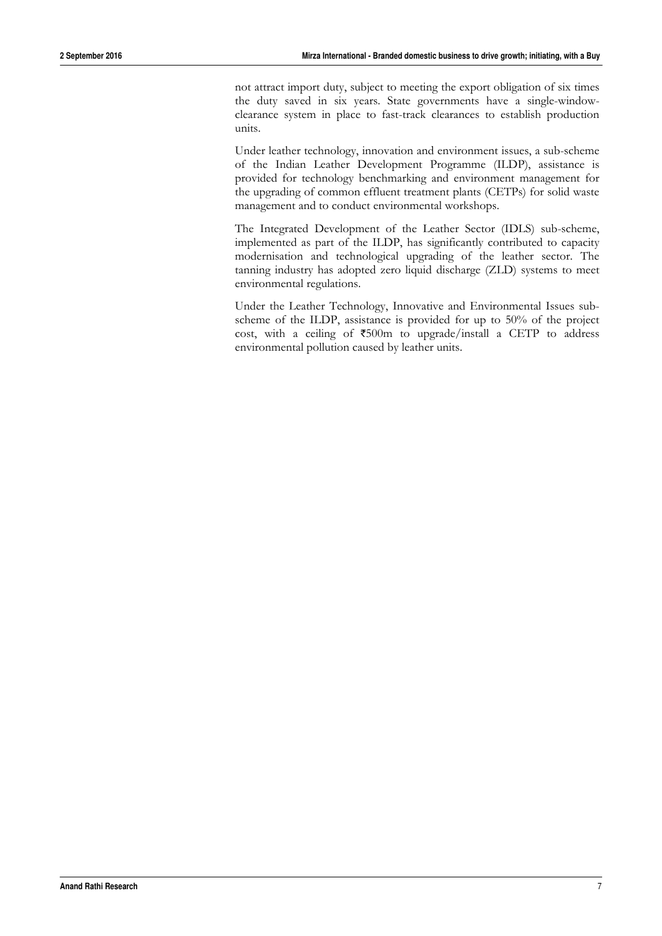not attract import duty, subject to meeting the export obligation of six times the duty saved in six years. State governments have a single-windowclearance system in place to fast-track clearances to establish production units.

Under leather technology, innovation and environment issues, a sub-scheme of the Indian Leather Development Programme (ILDP), assistance is provided for technology benchmarking and environment management for the upgrading of common effluent treatment plants (CETPs) for solid waste management and to conduct environmental workshops.

The Integrated Development of the Leather Sector (IDLS) sub-scheme, implemented as part of the ILDP, has significantly contributed to capacity modernisation and technological upgrading of the leather sector. The tanning industry has adopted zero liquid discharge (ZLD) systems to meet environmental regulations.

Under the Leather Technology, Innovative and Environmental Issues subscheme of the ILDP, assistance is provided for up to 50% of the project cost, with a ceiling of  $\overline{500m}$  to upgrade/install a CETP to address environmental pollution caused by leather units.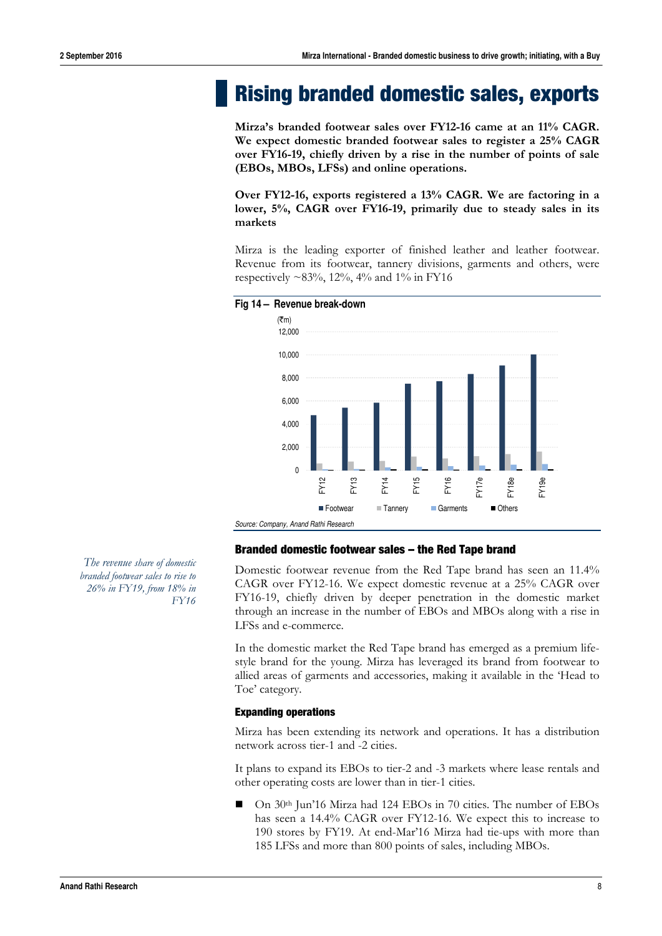### **Rising branded domestic sales, exports**

**Mirza's branded footwear sales over FY12-16 came at an 11% CAGR. We expect domestic branded footwear sales to register a 25% CAGR over FY16-19, chiefly driven by a rise in the number of points of sale (EBOs, MBOs, LFSs) and online operations.** 

**Over FY12-16, exports registered a 13% CAGR. We are factoring in a lower, 5%, CAGR over FY16-19, primarily due to steady sales in its markets** 

Mirza is the leading exporter of finished leather and leather footwear. Revenue from its footwear, tannery divisions, garments and others, were respectively  $\sim 83\%$ , 12%, 4% and 1% in FY16



#### **Branded domestic footwear sales – the Red Tape brand**

Domestic footwear revenue from the Red Tape brand has seen an 11.4% CAGR over FY12-16. We expect domestic revenue at a 25% CAGR over FY16-19, chiefly driven by deeper penetration in the domestic market through an increase in the number of EBOs and MBOs along with a rise in LFSs and e-commerce.

In the domestic market the Red Tape brand has emerged as a premium lifestyle brand for the young. Mirza has leveraged its brand from footwear to allied areas of garments and accessories, making it available in the 'Head to Toe' category.

#### **Expanding operations**

Mirza has been extending its network and operations. It has a distribution network across tier-1 and -2 cities.

It plans to expand its EBOs to tier-2 and -3 markets where lease rentals and other operating costs are lower than in tier-1 cities.

 On 30th Jun'16 Mirza had 124 EBOs in 70 cities. The number of EBOs has seen a 14.4% CAGR over FY12-16. We expect this to increase to 190 stores by FY19. At end-Mar'16 Mirza had tie-ups with more than 185 LFSs and more than 800 points of sales, including MBOs.

*The revenue share of domestic branded footwear sales to rise to 26% in FY19, from 18% in FY16*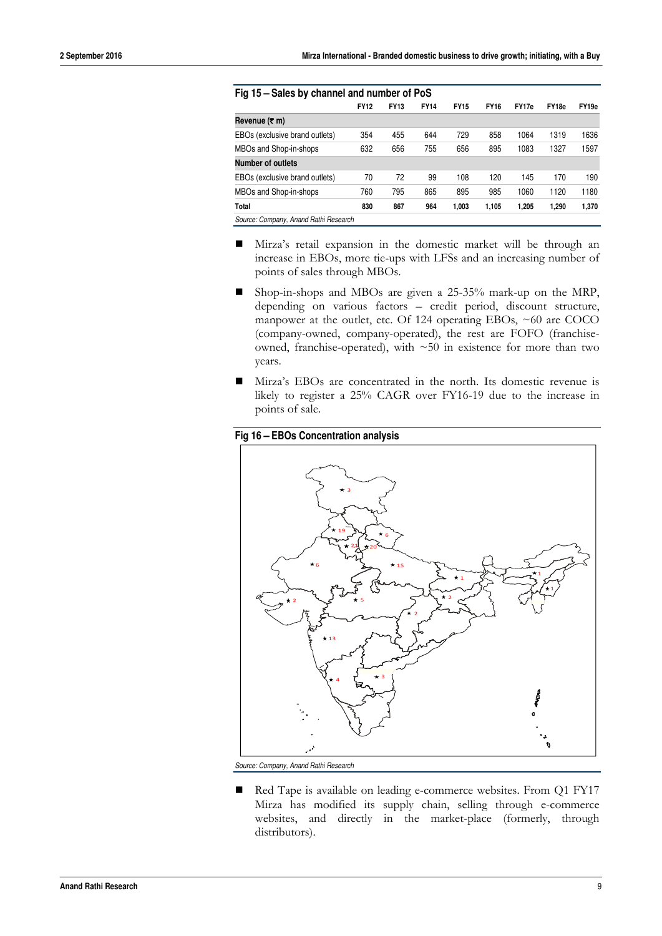| Fig 15 - Sales by channel and number of PoS |             |             |             |             |             |       |       |                   |  |  |
|---------------------------------------------|-------------|-------------|-------------|-------------|-------------|-------|-------|-------------------|--|--|
|                                             | <b>FY12</b> | <b>FY13</b> | <b>FY14</b> | <b>FY15</b> | <b>FY16</b> | FY17e | FY18e | FY <sub>19e</sub> |  |  |
| Revenue (₹ m)                               |             |             |             |             |             |       |       |                   |  |  |
| EBOs (exclusive brand outlets)              | 354         | 455         | 644         | 729         | 858         | 1064  | 1319  | 1636              |  |  |
| MBOs and Shop-in-shops                      | 632         | 656         | 755         | 656         | 895         | 1083  | 1327  | 1597              |  |  |
| <b>Number of outlets</b>                    |             |             |             |             |             |       |       |                   |  |  |
| EBOs (exclusive brand outlets)              | 70          | 72          | 99          | 108         | 120         | 145   | 170   | 190               |  |  |
| MBOs and Shop-in-shops                      | 760         | 795         | 865         | 895         | 985         | 1060  | 1120  | 1180              |  |  |
| <b>Total</b>                                | 830         | 867         | 964         | 1.003       | 1.105       | 1.205 | 1.290 | 1,370             |  |  |
| Source: Company, Anand Rathi Research       |             |             |             |             |             |       |       |                   |  |  |

- Mirza's retail expansion in the domestic market will be through an increase in EBOs, more tie-ups with LFSs and an increasing number of points of sales through MBOs.
- Shop-in-shops and MBOs are given a 25-35% mark-up on the MRP, depending on various factors – credit period, discount structure, manpower at the outlet, etc. Of 124 operating EBOs, ~60 are COCO (company-owned, company-operated), the rest are FOFO (franchiseowned, franchise-operated), with ~50 in existence for more than two years.
- Mirza's EBOs are concentrated in the north. Its domestic revenue is likely to register a 25% CAGR over FY16-19 due to the increase in points of sale.



*Source: Company, Anand Rathi Research* 

Red Tape is available on leading e-commerce websites. From Q1 FY17 Mirza has modified its supply chain, selling through e-commerce websites, and directly in the market-place (formerly, through distributors).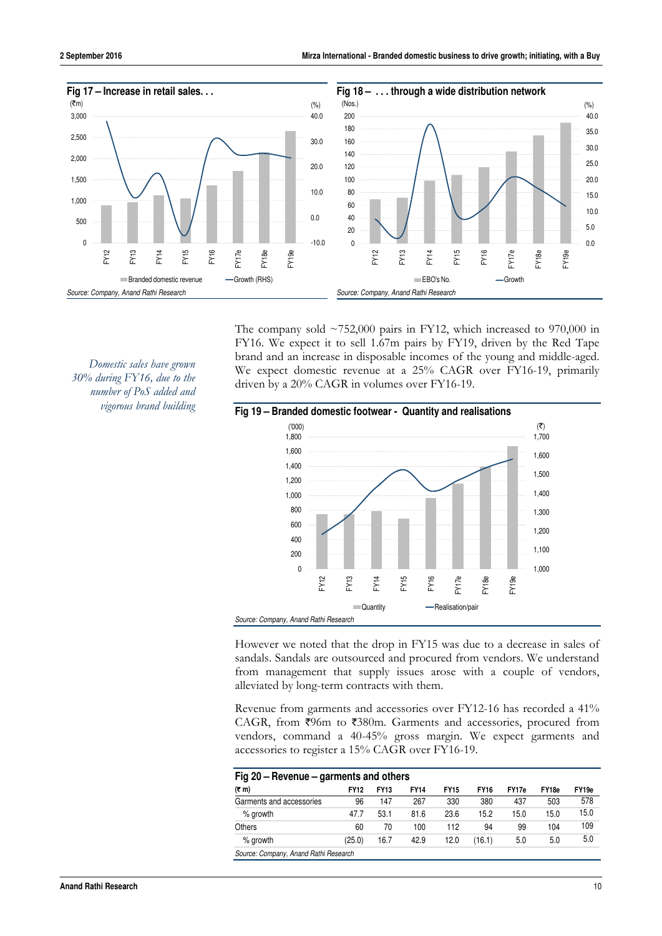

The company sold  $\sim$ 752,000 pairs in FY12, which increased to 970,000 in FY16. We expect it to sell 1.67m pairs by FY19, driven by the Red Tape brand and an increase in disposable incomes of the young and middle-aged. We expect domestic revenue at a 25% CAGR over FY16-19, primarily driven by a 20% CAGR in volumes over FY16-19.





However we noted that the drop in FY15 was due to a decrease in sales of sandals. Sandals are outsourced and procured from vendors. We understand from management that supply issues arose with a couple of vendors, alleviated by long-term contracts with them.

Revenue from garments and accessories over FY12-16 has recorded a 41% CAGR, from  $\overline{5}96$ m to  $\overline{5}380$ m. Garments and accessories, procured from vendors, command a 40-45% gross margin. We expect garments and accessories to register a 15% CAGR over FY16-19.

| $(5 \, \text{m})$        | <b>FY12</b> | <b>FY13</b> | <b>FY14</b> | <b>FY15</b> | <b>FY16</b> | FY17e | FY <sub>18e</sub> | FY19e |
|--------------------------|-------------|-------------|-------------|-------------|-------------|-------|-------------------|-------|
| Garments and accessories | 96          | 147         | 267         | 330         | 380         | 437   | 503               | 578   |
| % growth                 | 47.7        | 53.1        | 81.6        | 23.6        | 15.2        | 15.0  | 15.0              | 15.0  |
| Others                   | 60          | 70          | 100         | 112         | 94          | 99    | 104               | 109   |
| % growth                 | (25.0)      | 16.7        | 42.9        | 12.0        | (16.1)      | 5.0   | 5.0               | 5.0   |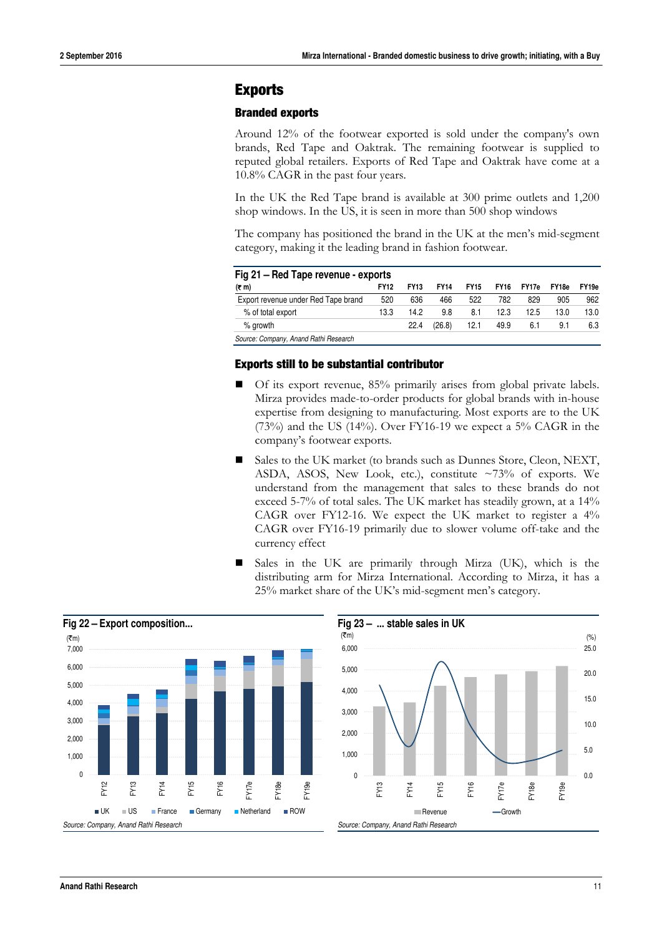#### **Exports**

#### **Branded exports**

Around 12% of the footwear exported is sold under the company's own brands, Red Tape and Oaktrak. The remaining footwear is supplied to reputed global retailers. Exports of Red Tape and Oaktrak have come at a 10.8% CAGR in the past four years.

In the UK the Red Tape brand is available at 300 prime outlets and 1,200 shop windows. In the US, it is seen in more than 500 shop windows

The company has positioned the brand in the UK at the men's mid-segment category, making it the leading brand in fashion footwear.

| Fig 21 – Red Tape revenue - exports  |             |             |             |             |             |       |       |                   |  |  |
|--------------------------------------|-------------|-------------|-------------|-------------|-------------|-------|-------|-------------------|--|--|
| $(7 \text{ m})$                      | <b>FY12</b> | <b>FY13</b> | <b>FY14</b> | <b>FY15</b> | <b>FY16</b> | FY17e | FY18e | FY <sub>19e</sub> |  |  |
| Export revenue under Red Tape brand  | 520         | 636         | 466         | 522         | 782         | 829   | 905   | 962               |  |  |
| % of total export                    | 13.3        | 14.2        | 9.8         | 8.1         | 12.3        | 12.5  | 13.0  | 13.0              |  |  |
| % growth                             |             | 22.4        | (26.8)      | 12.1        | 49.9        | 6.1   | 9.1   | 6.3               |  |  |
| Course Company, Anand Dathi Descarsh |             |             |             |             |             |       |       |                   |  |  |

*Source: Company, Anand Rathi Research* 

#### **Exports still to be substantial contributor**

- Of its export revenue, 85% primarily arises from global private labels. Mirza provides made-to-order products for global brands with in-house expertise from designing to manufacturing. Most exports are to the UK  $(73%)$  and the US  $(14%)$ . Over FY16-19 we expect a 5% CAGR in the company's footwear exports.
- Sales to the UK market (to brands such as Dunnes Store, Cleon, NEXT, ASDA, ASOS, New Look, etc.), constitute ~73% of exports. We understand from the management that sales to these brands do not exceed 5-7% of total sales. The UK market has steadily grown, at a 14% CAGR over FY12-16. We expect the UK market to register a 4% CAGR over FY16-19 primarily due to slower volume off-take and the currency effect
- Sales in the UK are primarily through Mirza (UK), which is the distributing arm for Mirza International. According to Mirza, it has a 25% market share of the UK's mid-segment men's category.



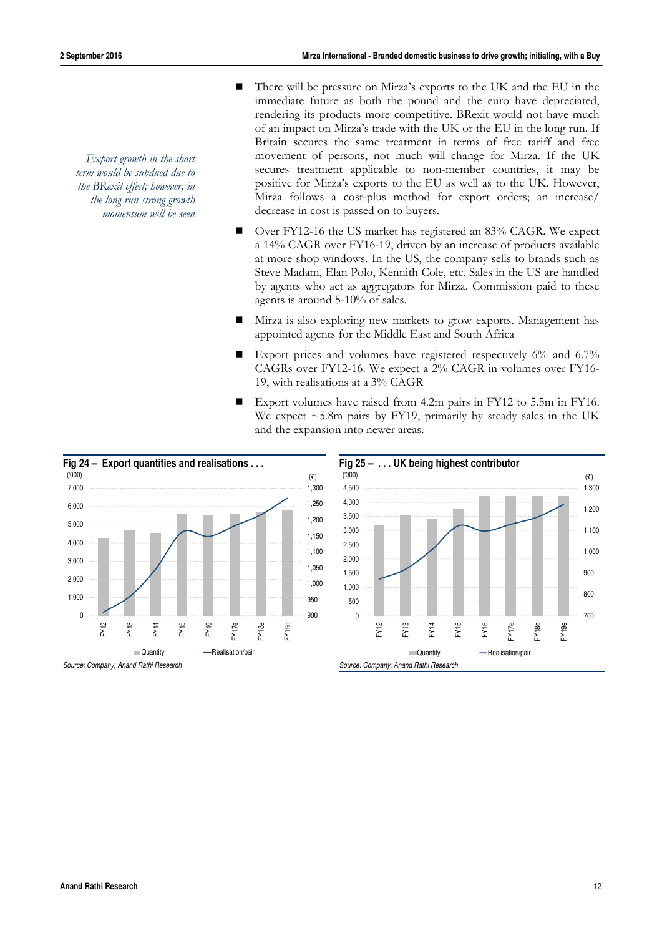*Export growth in the short term would be subdued due to the BRexit effect; however, in the long run strong growth momentum will be seen* 

- There will be pressure on Mirza's exports to the UK and the EU in the immediate future as both the pound and the euro have depreciated, rendering its products more competitive. BRexit would not have much of an impact on Mirza's trade with the UK or the EU in the long run. If Britain secures the same treatment in terms of free tariff and free movement of persons, not much will change for Mirza. If the UK secures treatment applicable to non-member countries, it may be positive for Mirza's exports to the EU as well as to the UK. However, Mirza follows a cost-plus method for export orders; an increase/ decrease in cost is passed on to buyers.
- Over FY12-16 the US market has registered an 83% CAGR. We expect a 14% CAGR over FY16-19, driven by an increase of products available at more shop windows. In the US, the company sells to brands such as Steve Madam, Elan Polo, Kennith Cole, etc. Sales in the US are handled by agents who act as aggregators for Mirza. Commission paid to these agents is around 5-10% of sales.
- Mirza is also exploring new markets to grow exports. Management has appointed agents for the Middle East and South Africa
- Export prices and volumes have registered respectively  $6\%$  and  $6.7\%$ CAGRs over FY12-16. We expect a 2% CAGR in volumes over FY16- 19, with realisations at a 3% CAGR
- Export volumes have raised from 4.2m pairs in FY12 to 5.5m in FY16. We expect ~5.8m pairs by FY19, primarily by steady sales in the UK and the expansion into newer areas.



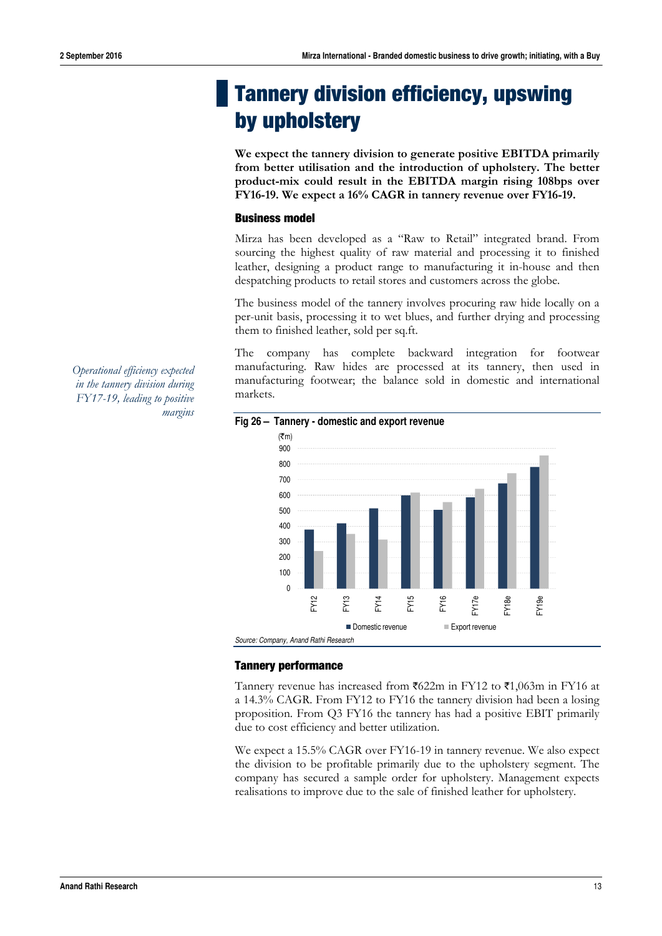# **Tannery division efficiency, upswing by upholstery**

**We expect the tannery division to generate positive EBITDA primarily from better utilisation and the introduction of upholstery. The better product-mix could result in the EBITDA margin rising 108bps over FY16-19. We expect a 16% CAGR in tannery revenue over FY16-19.** 

#### **Business model**

Mirza has been developed as a "Raw to Retail" integrated brand. From sourcing the highest quality of raw material and processing it to finished leather, designing a product range to manufacturing it in-house and then despatching products to retail stores and customers across the globe.

The business model of the tannery involves procuring raw hide locally on a per-unit basis, processing it to wet blues, and further drying and processing them to finished leather, sold per sq.ft.

The company has complete backward integration for footwear manufacturing. Raw hides are processed at its tannery, then used in manufacturing footwear; the balance sold in domestic and international markets.



#### **Fig 26 – Tannery - domestic and export revenue**

#### **Tannery performance**

Tannery revenue has increased from  $\text{\textsterling}622m$  in FY12 to  $\text{\textsterling}1,063m$  in FY16 at a 14.3% CAGR. From FY12 to FY16 the tannery division had been a losing proposition. From Q3 FY16 the tannery has had a positive EBIT primarily due to cost efficiency and better utilization.

We expect a 15.5% CAGR over FY16-19 in tannery revenue. We also expect the division to be profitable primarily due to the upholstery segment. The company has secured a sample order for upholstery. Management expects realisations to improve due to the sale of finished leather for upholstery.

*Operational efficiency expected in the tannery division during FY17-19, leading to positive margins*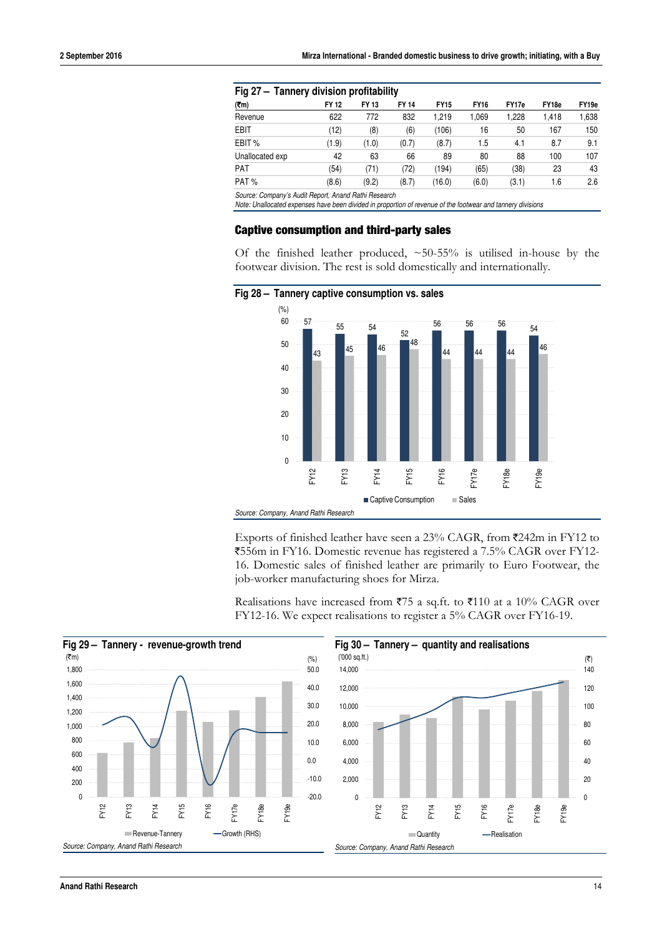|                                                      | Fig 27 - Tannery division profitability |       |              |             |             |       |                   |                   |  |  |  |  |
|------------------------------------------------------|-----------------------------------------|-------|--------------|-------------|-------------|-------|-------------------|-------------------|--|--|--|--|
| (7m)                                                 | FY 12                                   | FY 13 | <b>FY 14</b> | <b>FY15</b> | <b>FY16</b> | FY17e | FY <sub>18e</sub> | FY <sub>19e</sub> |  |  |  |  |
| Revenue                                              | 622                                     | 772   | 832          | 1.219       | 1,069       | 1.228 | 1.418             | 1,638             |  |  |  |  |
| <b>EBIT</b>                                          | (12)                                    | (8)   | (6)          | (106)       | 16          | 50    | 167               | 150               |  |  |  |  |
| EBIT %                                               | (1.9)                                   | (1.0) | (0.7)        | (8.7)       | 1.5         | 4.1   | 8.7               | 9.1               |  |  |  |  |
| Unallocated exp                                      | 42                                      | 63    | 66           | 89          | 80          | 88    | 100               | 107               |  |  |  |  |
| <b>PAT</b>                                           | (54)                                    | (71)  | 72)          | (194)       | (65)        | (38)  | 23                | 43                |  |  |  |  |
| PAT%                                                 | (8.6)                                   | (9.2) | (8.7)        | (16.0)      | (6.0)       | (3.1) | 1.6               | 2.6               |  |  |  |  |
| Source: Company's Audit Report, Anand Rathi Research |                                         |       |              |             |             |       |                   |                   |  |  |  |  |

*Note: Unallocated expenses have been divided in proportion of revenue of the footwear and tannery divisions* 

#### **Captive consumption and third-party sales**

Of the finished leather produced,  $\sim$  50-55% is utilised in-house by the footwear division. The rest is sold domestically and internationally.



Exports of finished leather have seen a 23% CAGR, from ₹242m in FY12 to `556m in FY16. Domestic revenue has registered a 7.5% CAGR over FY12- 16. Domestic sales of finished leather are primarily to Euro Footwear, the job-worker manufacturing shoes for Mirza.

Realisations have increased from  $75$  a sq.ft. to  $7110$  at a 10% CAGR over FY12-16. We expect realisations to register a 5% CAGR over FY16-19.

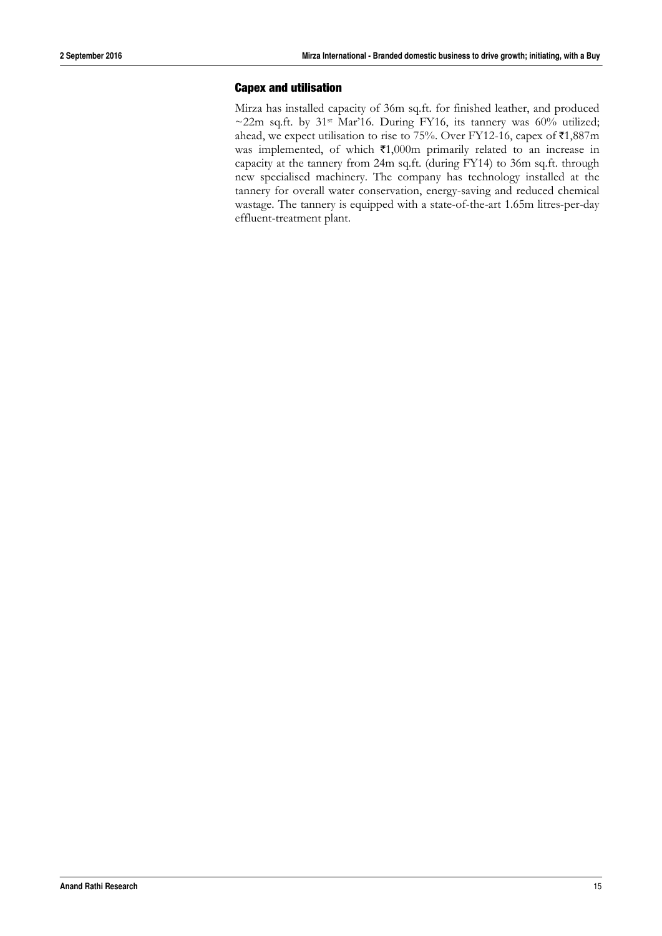#### **Capex and utilisation**

Mirza has installed capacity of 36m sq.ft. for finished leather, and produced  $\sim$ 22m sq.ft. by 31st Mar'16. During FY16, its tannery was 60% utilized; ahead, we expect utilisation to rise to 75%. Over FY12-16, capex of  $\bar{\tau}1,887\text{m}$ was implemented, of which  $\text{\texttt{F1,000m}}$  primarily related to an increase in capacity at the tannery from 24m sq.ft. (during FY14) to 36m sq.ft. through new specialised machinery. The company has technology installed at the tannery for overall water conservation, energy-saving and reduced chemical wastage. The tannery is equipped with a state-of-the-art 1.65m litres-per-day effluent-treatment plant.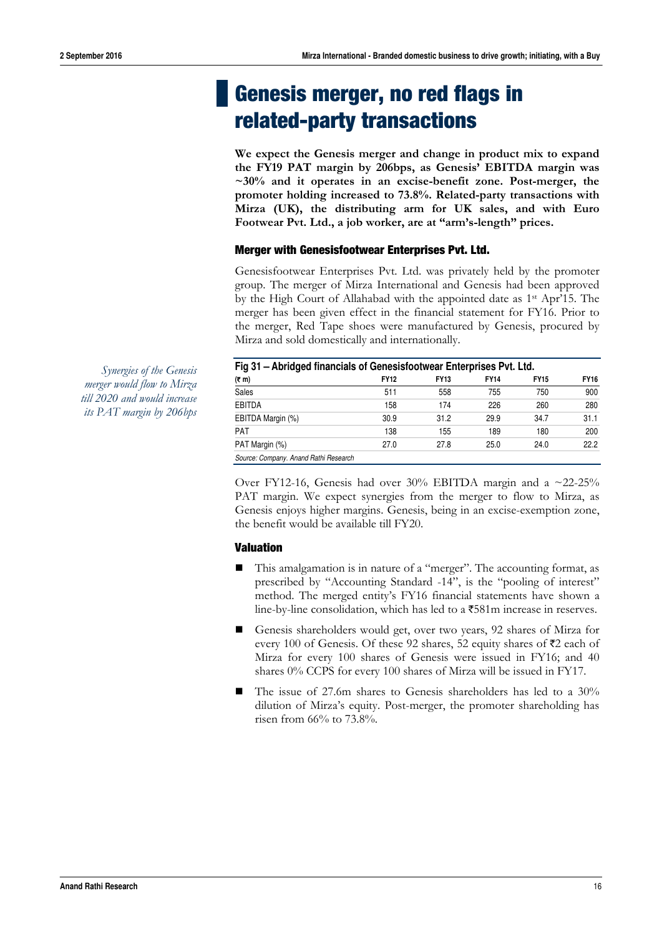# **Genesis merger, no red flags in related-party transactions**

**We expect the Genesis merger and change in product mix to expand the FY19 PAT margin by 206bps, as Genesis' EBITDA margin was ~30% and it operates in an excise-benefit zone. Post-merger, the promoter holding increased to 73.8%. Related-party transactions with Mirza (UK), the distributing arm for UK sales, and with Euro Footwear Pvt. Ltd., a job worker, are at "arm's-length" prices.** 

#### **Merger with Genesisfootwear Enterprises Pvt. Ltd.**

Genesisfootwear Enterprises Pvt. Ltd. was privately held by the promoter group. The merger of Mirza International and Genesis had been approved by the High Court of Allahabad with the appointed date as 1st Apr'15. The merger has been given effect in the financial statement for FY16. Prior to the merger, Red Tape shoes were manufactured by Genesis, procured by Mirza and sold domestically and internationally.

| Fig 31 - Abridged financials of Genesisfootwear Enterprises Pvt. Ltd. |             |             |             |             |             |  |  |  |  |  |  |
|-----------------------------------------------------------------------|-------------|-------------|-------------|-------------|-------------|--|--|--|--|--|--|
| $(5 \, \text{m})$                                                     | <b>FY12</b> | <b>FY13</b> | <b>FY14</b> | <b>FY15</b> | <b>FY16</b> |  |  |  |  |  |  |
| Sales                                                                 | 511         | 558         | 755         | 750         | 900         |  |  |  |  |  |  |
| <b>EBITDA</b>                                                         | 158         | 174         | 226         | 260         | 280         |  |  |  |  |  |  |
| EBITDA Margin (%)                                                     | 30.9        | 31.2        | 29.9        | 34.7        | 31.1        |  |  |  |  |  |  |
| <b>PAT</b>                                                            | 138         | 155         | 189         | 180         | 200         |  |  |  |  |  |  |
| PAT Margin (%)                                                        | 27.0        | 27.8        | 25.0        | 24.0        | 22.2        |  |  |  |  |  |  |
| Source: Company. Anand Rathi Research                                 |             |             |             |             |             |  |  |  |  |  |  |

*merger would flow to Mirza till 2020 and would increase its PAT margin by 206bps* 

*Synergies of the Genesis* 

Over FY12-16, Genesis had over  $30\%$  EBITDA margin and a  $\approx 22-25\%$ PAT margin. We expect synergies from the merger to flow to Mirza, as Genesis enjoys higher margins. Genesis, being in an excise-exemption zone, the benefit would be available till FY20.

#### **Valuation**

- This amalgamation is in nature of a "merger". The accounting format, as prescribed by "Accounting Standard -14", is the "pooling of interest" method. The merged entity's FY16 financial statements have shown a line-by-line consolidation, which has led to a  $\overline{581m}$  increase in reserves.
- Genesis shareholders would get, over two years, 92 shares of Mirza for every 100 of Genesis. Of these 92 shares, 52 equity shares of  $\bar{\mathcal{Z}}$  each of Mirza for every 100 shares of Genesis were issued in FY16; and 40 shares 0% CCPS for every 100 shares of Mirza will be issued in FY17.
- The issue of 27.6m shares to Genesis shareholders has led to a 30% dilution of Mirza's equity. Post-merger, the promoter shareholding has risen from 66% to 73.8%.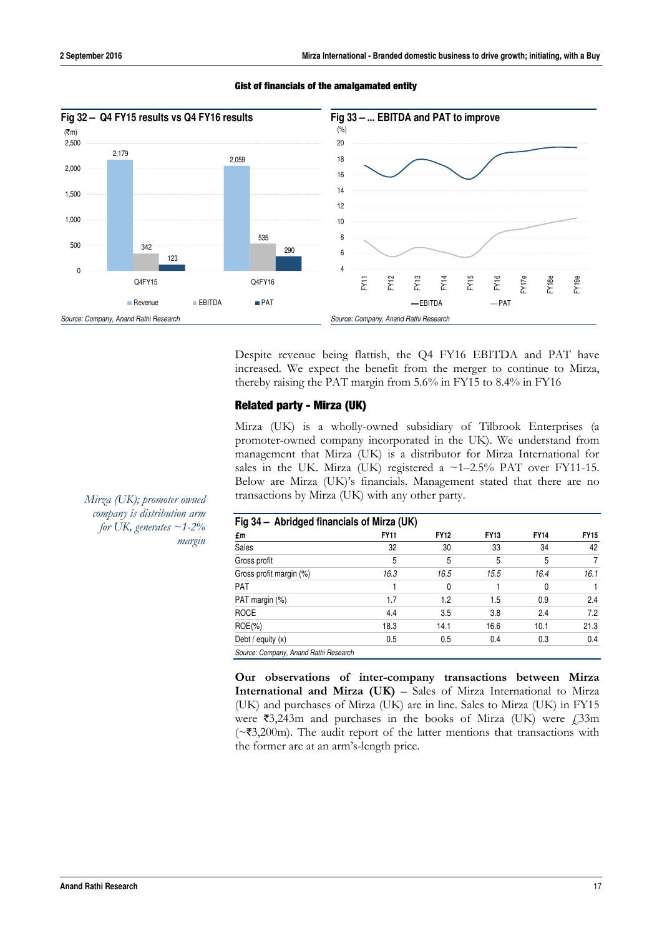

#### **Gist of financials of the amalgamated entity**

Despite revenue being flattish, the Q4 FY16 EBITDA and PAT have increased. We expect the benefit from the merger to continue to Mirza, thereby raising the PAT margin from 5.6% in FY15 to 8.4% in FY16

#### **Related party - Mirza (UK)**

Mirza (UK) is a wholly-owned subsidiary of Tilbrook Enterprises (a promoter-owned company incorporated in the UK). We understand from management that Mirza (UK) is a distributor for Mirza International for sales in the UK. Mirza (UK) registered a  $\sim$ 1-2.5% PAT over FY11-15. Below are Mirza (UK)'s financials. Management stated that there are no transactions by Mirza (UK) with any other party.

| Fig 34 - Abridged financials of Mirza (UK) |             |             |             |             |             |
|--------------------------------------------|-------------|-------------|-------------|-------------|-------------|
| £m                                         | <b>FY11</b> | <b>FY12</b> | <b>FY13</b> | <b>FY14</b> | <b>FY15</b> |
| Sales                                      | 32          | 30          | 33          | 34          | 42          |
| Gross profit                               | 5           | 5           | 5           | 5           |             |
| Gross profit margin (%)                    | 16.3        | 16.5        | 15.5        | 16.4        | 16.1        |
| PAT                                        |             | 0           |             | 0           |             |
| PAT margin (%)                             | 1.7         | 1.2         | 1.5         | 0.9         | 2.4         |
| <b>ROCE</b>                                | 4.4         | 3.5         | 3.8         | 2.4         | 7.2         |
| $ROE(\% )$                                 | 18.3        | 14.1        | 16.6        | 10.1        | 21.3        |
| Debt / equity $(x)$                        | 0.5         | 0.5         | 0.4         | 0.3         | 0.4         |
| Source: Company, Anand Rathi Research      |             |             |             |             |             |

**Our observations of inter-company transactions between Mirza International and Mirza (UK)** – Sales of Mirza International to Mirza (UK) and purchases of Mirza (UK) are in line. Sales to Mirza (UK) in FY15 were  $\overline{53,243m}$  and purchases in the books of Mirza (UK) were  $\overline{233m}$  $(\sim$ ₹3,200m). The audit report of the latter mentions that transactions with the former are at an arm's-length price.

*Mirza (UK); promoter owned company is distribution arm for UK, generates*  $\sim$  1-2% *margin*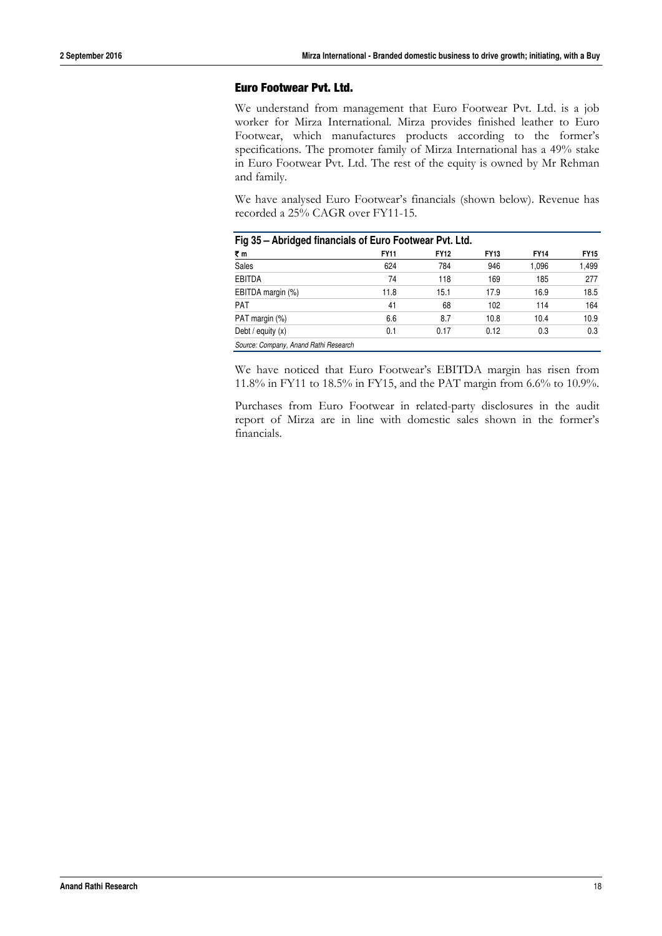#### **Euro Footwear Pvt. Ltd.**

We understand from management that Euro Footwear Pvt. Ltd. is a job worker for Mirza International. Mirza provides finished leather to Euro Footwear, which manufactures products according to the former's specifications. The promoter family of Mirza International has a 49% stake in Euro Footwear Pvt. Ltd. The rest of the equity is owned by Mr Rehman and family.

We have analysed Euro Footwear's financials (shown below). Revenue has recorded a 25% CAGR over FY11-15.

|                                       | Fig 35 - Abridged financials of Euro Footwear Pvt. Ltd. |             |             |             |             |  |  |  |  |  |  |
|---------------------------------------|---------------------------------------------------------|-------------|-------------|-------------|-------------|--|--|--|--|--|--|
| ₹m                                    | <b>FY11</b>                                             | <b>FY12</b> | <b>FY13</b> | <b>FY14</b> | <b>FY15</b> |  |  |  |  |  |  |
| Sales                                 | 624                                                     | 784         | 946         | 1,096       | 1,499       |  |  |  |  |  |  |
| <b>EBITDA</b>                         | 74                                                      | 118         | 169         | 185         | 277         |  |  |  |  |  |  |
| EBITDA margin (%)                     | 11.8                                                    | 15.1        | 17.9        | 16.9        | 18.5        |  |  |  |  |  |  |
| <b>PAT</b>                            | 41                                                      | 68          | 102         | 114         | 164         |  |  |  |  |  |  |
| PAT margin (%)                        | 6.6                                                     | 8.7         | 10.8        | 10.4        | 10.9        |  |  |  |  |  |  |
| Debt / equity $(x)$                   | 0.1                                                     | 0.17        | 0.12        | 0.3         | 0.3         |  |  |  |  |  |  |
| Source: Company, Anand Rathi Research |                                                         |             |             |             |             |  |  |  |  |  |  |

We have noticed that Euro Footwear's EBITDA margin has risen from 11.8% in FY11 to 18.5% in FY15, and the PAT margin from 6.6% to 10.9%.

Purchases from Euro Footwear in related-party disclosures in the audit report of Mirza are in line with domestic sales shown in the former's financials.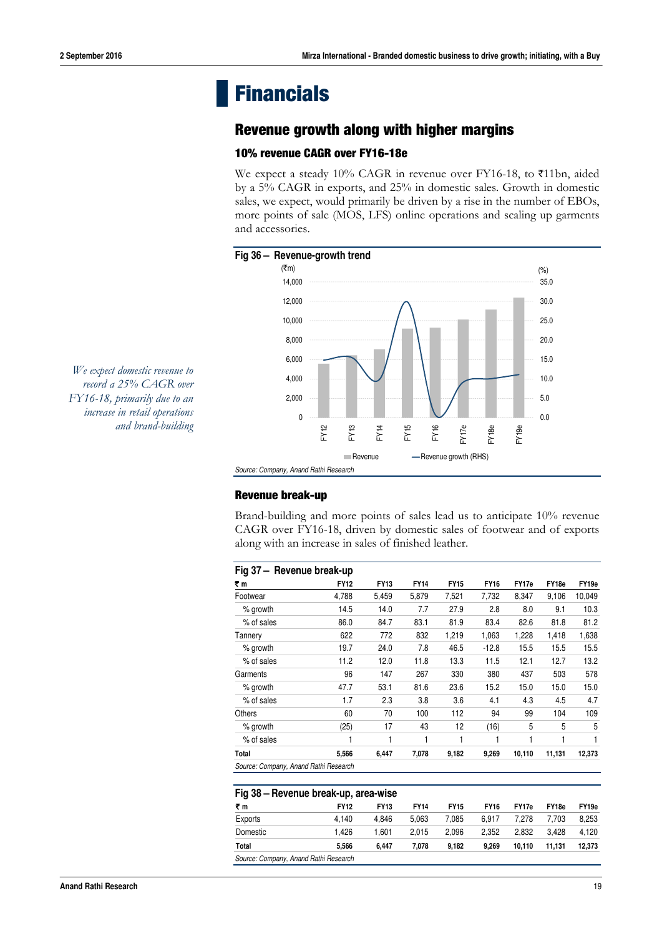# **Financials**

### **Revenue growth along with higher margins**

#### **10% revenue CAGR over FY16-18e**

We expect a steady 10% CAGR in revenue over FY16-18, to  $\bar{\tau}$ 11bn, aided by a 5% CAGR in exports, and 25% in domestic sales. Growth in domestic sales, we expect, would primarily be driven by a rise in the number of EBOs, more points of sale (MOS, LFS) online operations and scaling up garments and accessories.



*We expect domestic revenue to record a 25% CAGR over FY16-18, primarily due to an increase in retail operations and brand-building* 

#### **Revenue break-up**

Brand-building and more points of sales lead us to anticipate 10% revenue CAGR over FY16-18, driven by domestic sales of footwear and of exports along with an increase in sales of finished leather.

| Fig 37 - Revenue break-up             |             |             |             |             |             |        |        |                   |
|---------------------------------------|-------------|-------------|-------------|-------------|-------------|--------|--------|-------------------|
| ₹m                                    | <b>FY12</b> | <b>FY13</b> | <b>FY14</b> | <b>FY15</b> | <b>FY16</b> | FY17e  | FY18e  | FY <sub>19e</sub> |
| Footwear                              | 4,788       | 5,459       | 5,879       | 7,521       | 7,732       | 8,347  | 9,106  | 10,049            |
| % growth                              | 14.5        | 14.0        | 7.7         | 27.9        | 2.8         | 8.0    | 9.1    | 10.3              |
| % of sales                            | 86.0        | 84.7        | 83.1        | 81.9        | 83.4        | 82.6   | 81.8   | 81.2              |
| Tannery                               | 622         | 772         | 832         | 1,219       | 1,063       | 1,228  | 1,418  | 1,638             |
| % growth                              | 19.7        | 24.0        | 7.8         | 46.5        | $-12.8$     | 15.5   | 15.5   | 15.5              |
| % of sales                            | 11.2        | 12.0        | 11.8        | 13.3        | 11.5        | 12.1   | 12.7   | 13.2              |
| Garments                              | 96          | 147         | 267         | 330         | 380         | 437    | 503    | 578               |
| % growth                              | 47.7        | 53.1        | 81.6        | 23.6        | 15.2        | 15.0   | 15.0   | 15.0              |
| % of sales                            | 1.7         | 2.3         | 3.8         | 3.6         | 4.1         | 4.3    | 4.5    | 4.7               |
| Others                                | 60          | 70          | 100         | 112         | 94          | 99     | 104    | 109               |
| % growth                              | (25)        | 17          | 43          | 12          | (16)        | 5      | 5      | 5                 |
| % of sales                            |             |             | 1           | 1           |             |        | 1      | 1                 |
| Total                                 | 5.566       | 6.447       | 7.078       | 9,182       | 9,269       | 10,110 | 11,131 | 12,373            |
| Source: Company, Anand Rathi Research |             |             |             |             |             |        |        |                   |

|                                       | Fig 38 - Revenue break-up, area-wise |             |             |             |             |        |                   |        |  |  |  |  |
|---------------------------------------|--------------------------------------|-------------|-------------|-------------|-------------|--------|-------------------|--------|--|--|--|--|
| ₹m                                    | <b>FY12</b>                          | <b>FY13</b> | <b>FY14</b> | <b>FY15</b> | <b>FY16</b> | FY17e  | FY <sub>18e</sub> | FY19e  |  |  |  |  |
| Exports                               | 4.140                                | 4.846       | 5.063       | 7.085       | 6.917       | 7.278  | 7.703             | 8.253  |  |  |  |  |
| Domestic                              | 1.426                                | 1.601       | 2.015       | 2.096       | 2.352       | 2.832  | 3.428             | 4.120  |  |  |  |  |
| Total                                 | 5.566                                | 6.447       | 7.078       | 9.182       | 9.269       | 10.110 | 11.131            | 12,373 |  |  |  |  |
| Source: Company, Anand Rathi Research |                                      |             |             |             |             |        |                   |        |  |  |  |  |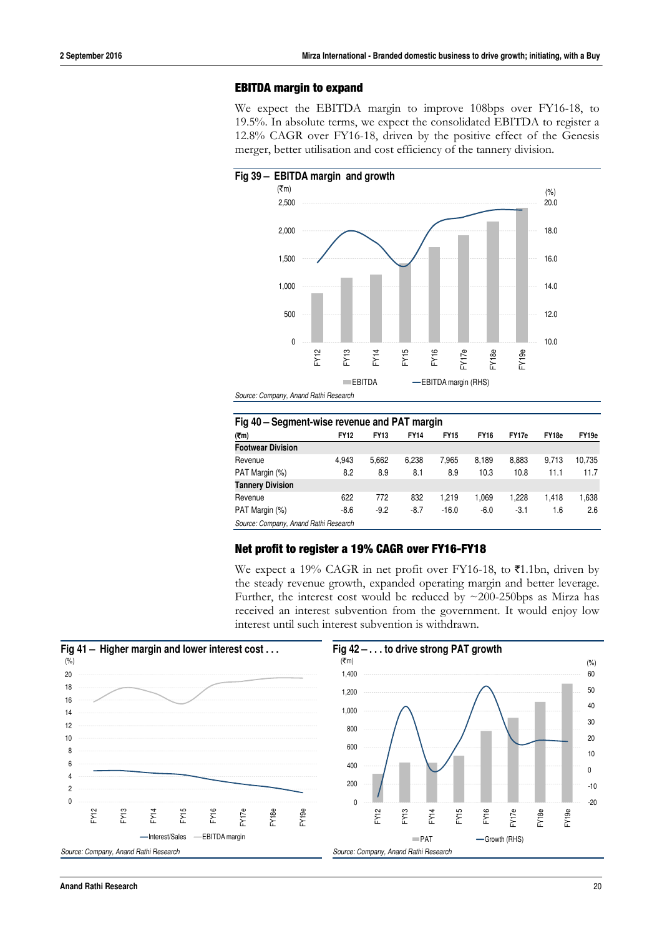#### **EBITDA margin to expand**

We expect the EBITDA margin to improve 108bps over FY16-18, to 19.5%. In absolute terms, we expect the consolidated EBITDA to register a 12.8% CAGR over FY16-18, driven by the positive effect of the Genesis merger, better utilisation and cost efficiency of the tannery division.



|                                       | Fig 40 – Segment-wise revenue and PAT margin |             |             |             |             |        |       |        |  |  |  |  |
|---------------------------------------|----------------------------------------------|-------------|-------------|-------------|-------------|--------|-------|--------|--|--|--|--|
| (7m)                                  | <b>FY12</b>                                  | <b>FY13</b> | <b>FY14</b> | <b>FY15</b> | <b>FY16</b> | FY17e  | FY18e | FY19e  |  |  |  |  |
| <b>Footwear Division</b>              |                                              |             |             |             |             |        |       |        |  |  |  |  |
| Revenue                               | 4.943                                        | 5.662       | 6,238       | 7,965       | 8,189       | 8,883  | 9.713 | 10,735 |  |  |  |  |
| PAT Margin (%)                        | 8.2                                          | 8.9         | 8.1         | 8.9         | 10.3        | 10.8   | 11.1  | 11.7   |  |  |  |  |
| <b>Tannery Division</b>               |                                              |             |             |             |             |        |       |        |  |  |  |  |
| Revenue                               | 622                                          | 772         | 832         | 1.219       | 1,069       | 1.228  | 1.418 | 1,638  |  |  |  |  |
| PAT Margin (%)                        | $-8.6$                                       | $-9.2$      | $-8.7$      | $-16.0$     | $-6.0$      | $-3.1$ | 1.6   | 2.6    |  |  |  |  |
| Source: Company, Anand Rathi Research |                                              |             |             |             |             |        |       |        |  |  |  |  |

#### **Net profit to register a 19% CAGR over FY16-FY18**

We expect a 19% CAGR in net profit over FY16-18, to  $\bar{\mathfrak{e}}$ 1.1bn, driven by the steady revenue growth, expanded operating margin and better leverage. Further, the interest cost would be reduced by ~200-250bps as Mirza has received an interest subvention from the government. It would enjoy low interest until such interest subvention is withdrawn.

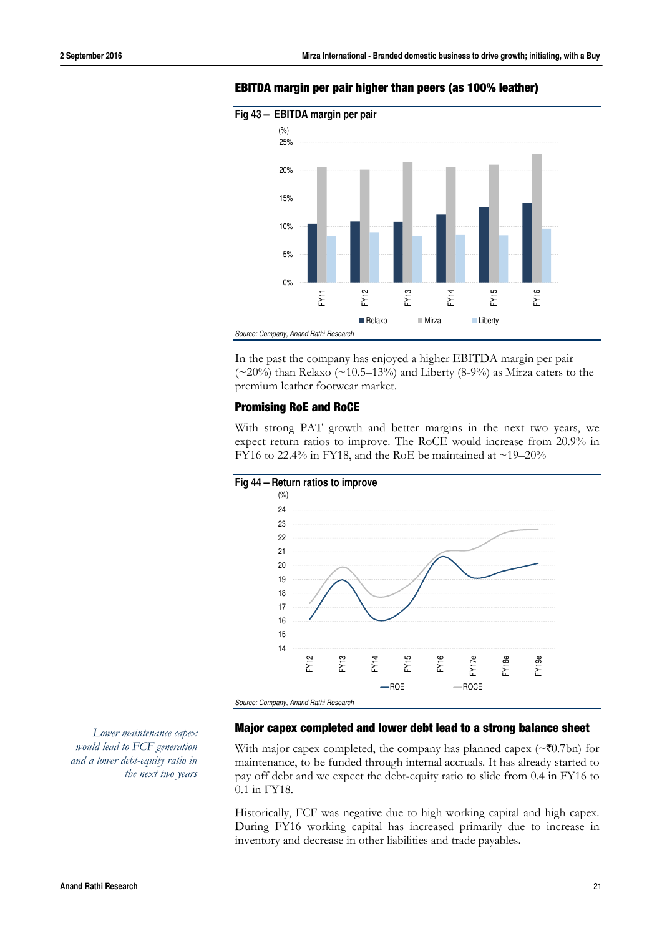

#### **EBITDA margin per pair higher than peers (as 100% leather)**

In the past the company has enjoyed a higher EBITDA margin per pair  $(\sim 20\%)$  than Relaxo  $(\sim 10.5-13\%)$  and Liberty  $(8-9\%)$  as Mirza caters to the premium leather footwear market.

#### **Promising RoE and RoCE**

With strong PAT growth and better margins in the next two years, we expect return ratios to improve. The RoCE would increase from 20.9% in FY16 to 22.4% in FY18, and the RoE be maintained at  $\sim$ 19–20%



**Major capex completed and lower debt lead to a strong balance sheet** 

With major capex completed, the company has planned capex ( $\sim$ ₹0.7bn) for maintenance, to be funded through internal accruals. It has already started to pay off debt and we expect the debt-equity ratio to slide from 0.4 in FY16 to 0.1 in FY18.

Historically, FCF was negative due to high working capital and high capex. During FY16 working capital has increased primarily due to increase in inventory and decrease in other liabilities and trade payables.

*Lower maintenance capex would lead to FCF generation and a lower debt-equity ratio in the next two years*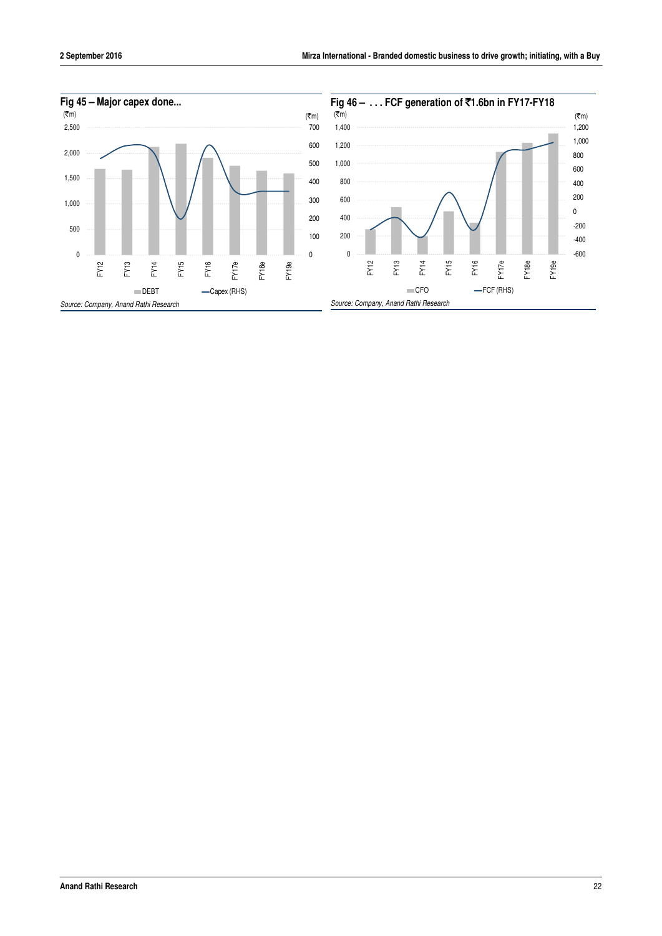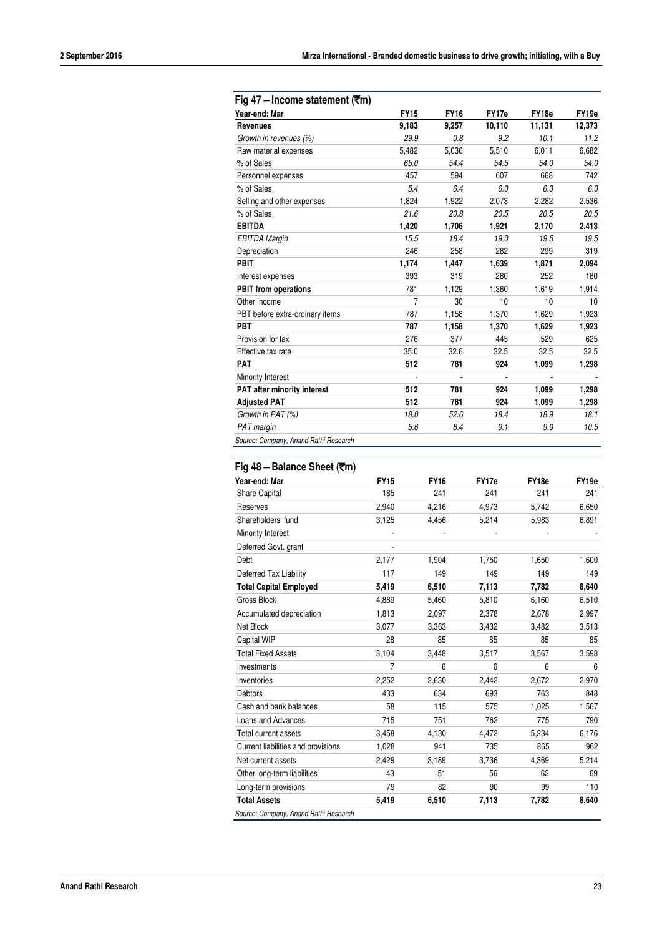| Year-end: Mar                         | <b>FY15</b>    | <b>FY16</b>    | FY17e          | FY18e  | FY19e  |
|---------------------------------------|----------------|----------------|----------------|--------|--------|
| <b>Revenues</b>                       | 9,183          | 9,257          | 10,110         | 11,131 | 12,373 |
| Growth in revenues (%)                | 29.9           | 0.8            | 9.2            | 10.1   | 11.2   |
| Raw material expenses                 | 5,482          | 5,036          | 5,510          | 6,011  | 6,682  |
| % of Sales                            | 65.0           | 54.4           | 54.5           | 54.0   | 54.0   |
| Personnel expenses                    | 457            | 594            | 607            | 668    | 742    |
| % of Sales                            | 5.4            | 6.4            | 6.0            | 6.0    | 6.0    |
| Selling and other expenses            | 1,824          | 1,922          | 2,073          | 2,282  | 2,536  |
| % of Sales                            | 21.6           | 20.8           | 20.5           | 20.5   | 20.5   |
| <b>EBITDA</b>                         | 1,420          | 1,706          | 1,921          | 2,170  | 2,413  |
| <b>EBITDA Margin</b>                  | 15.5           | 18.4           | 19.0           | 19.5   | 19.5   |
| Depreciation                          | 246            | 258            | 282            | 299    | 319    |
| <b>PBIT</b>                           | 1,174          | 1,447          | 1,639          | 1,871  | 2,094  |
| Interest expenses                     | 393            | 319            | 280            | 252    | 180    |
| <b>PBIT</b> from operations           | 781            | 1,129          | 1,360          | 1,619  | 1,914  |
| Other income                          | $\overline{7}$ | 30             | 10             | 10     | 10     |
| PBT before extra-ordinary items       | 787            | 1,158          | 1,370          | 1,629  | 1,923  |
| PBT                                   | 787            | 1,158          | 1,370          | 1,629  | 1,923  |
| Provision for tax                     | 276            | 377            | 445            | 529    | 625    |
| Effective tax rate                    | 35.0           | 32.6           | 32.5           | 32.5   | 32.5   |
| <b>PAT</b>                            | 512            | 781            | 924            | 1,099  | 1,298  |
| Minority Interest                     |                | $\blacksquare$ | $\blacksquare$ |        |        |
| PAT after minority interest           | 512            | 781            | 924            | 1,099  | 1,298  |
| <b>Adjusted PAT</b>                   | 512            | 781            | 924            | 1,099  | 1,298  |
| Growth in PAT (%)                     | 18.0           | 52.6           | 18.4           | 18.9   | 18.1   |
| PAT margin                            | 5.6            | 8.4            | 9.1            | 9.9    | 10.5   |
| Source: Company, Anand Rathi Research |                |                |                |        |        |

#### **Fig 48 – Balance Sheet (**`**m)**

| Year-end: Mar                      | <b>FY15</b> | <b>FY16</b> | FY17e | FY18e | FY <sub>19e</sub> |
|------------------------------------|-------------|-------------|-------|-------|-------------------|
| <b>Share Capital</b>               | 185         | 241         | 241   | 241   | 241               |
| Reserves                           | 2,940       | 4,216       | 4,973 | 5,742 | 6,650             |
| Shareholders' fund                 | 3,125       | 4,456       | 5,214 | 5,983 | 6,891             |
| Minority Interest                  |             |             |       |       |                   |
| Deferred Govt. grant               | ٠           |             |       |       |                   |
| Debt                               | 2,177       | 1,904       | 1,750 | 1,650 | 1,600             |
| Deferred Tax Liability             | 117         | 149         | 149   | 149   | 149               |
| <b>Total Capital Employed</b>      | 5,419       | 6,510       | 7,113 | 7,782 | 8,640             |
| <b>Gross Block</b>                 | 4,889       | 5,460       | 5,810 | 6,160 | 6,510             |
| Accumulated depreciation           | 1,813       | 2,097       | 2,378 | 2,678 | 2,997             |
| Net Block                          | 3,077       | 3,363       | 3,432 | 3,482 | 3,513             |
| Capital WIP                        | 28          | 85          | 85    | 85    | 85                |
| <b>Total Fixed Assets</b>          | 3,104       | 3,448       | 3,517 | 3,567 | 3,598             |
| Investments                        | 7           | 6           | 6     | 6     | 6                 |
| Inventories                        | 2,252       | 2,630       | 2,442 | 2,672 | 2,970             |
| <b>Debtors</b>                     | 433         | 634         | 693   | 763   | 848               |
| Cash and bank balances             | 58          | 115         | 575   | 1,025 | 1,567             |
| Loans and Advances                 | 715         | 751         | 762   | 775   | 790               |
| Total current assets               | 3,458       | 4,130       | 4,472 | 5,234 | 6,176             |
| Current liabilities and provisions | 1,028       | 941         | 735   | 865   | 962               |
| Net current assets                 | 2,429       | 3,189       | 3,736 | 4,369 | 5,214             |
| Other long-term liabilities        | 43          | 51          | 56    | 62    | 69                |
| Long-term provisions               | 79          | 82          | 90    | 99    | 110               |
| <b>Total Assets</b>                | 5,419       | 6,510       | 7,113 | 7,782 | 8,640             |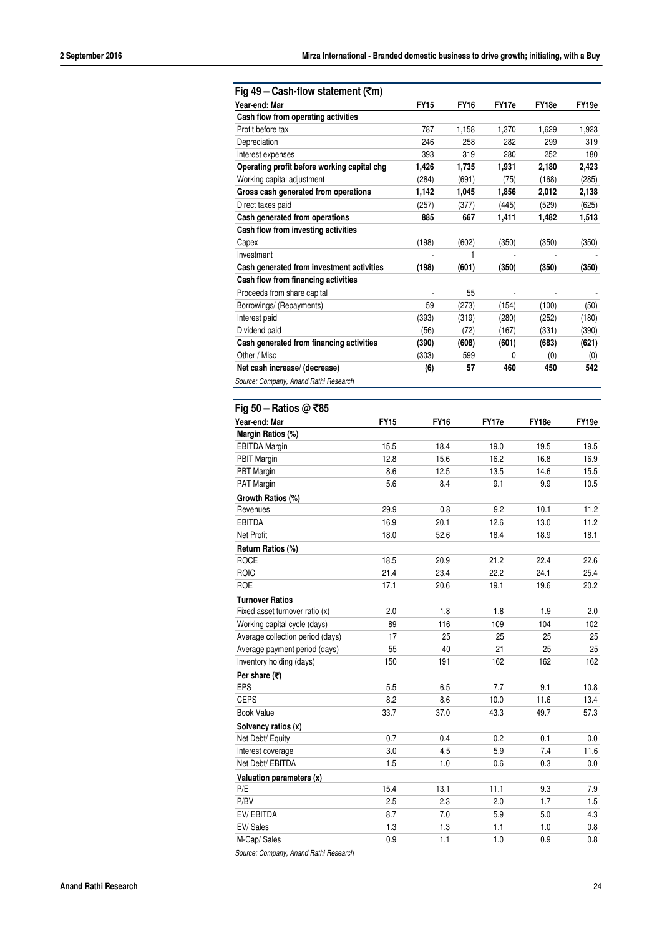| Fig 49 – Cash-flow statement ( $\overline{\tau}$ m)   |             |             |             |       |       |         |
|-------------------------------------------------------|-------------|-------------|-------------|-------|-------|---------|
| Year-end: Mar                                         |             | FY15        | <b>FY16</b> | FY17e | FY18e | FY19e   |
| Cash flow from operating activities                   |             |             |             |       |       |         |
| Profit before tax                                     |             | 787         | 1,158       | 1,370 | 1,629 | 1,923   |
| Depreciation                                          |             | 246         | 258         | 282   | 299   | 319     |
| Interest expenses                                     |             | 393         | 319         | 280   | 252   | 180     |
| Operating profit before working capital chg           |             | 1,426       | 1,735       | 1,931 | 2,180 | 2,423   |
| Working capital adjustment                            |             | (284)       | (691)       | (75)  | (168) | (285)   |
| Gross cash generated from operations                  |             | 1,142       | 1,045       | 1,856 | 2,012 | 2,138   |
| Direct taxes paid                                     |             | (257)       | (377)       | (445) | (529) | (625)   |
| Cash generated from operations                        |             | 885         | 667         | 1,411 | 1,482 | 1,513   |
| Cash flow from investing activities                   |             |             |             |       |       |         |
| Capex                                                 |             | (198)       | (602)       | (350) | (350) | (350)   |
| Investment                                            |             |             | 1           |       |       |         |
| Cash generated from investment activities             |             | (198)       | (601)       | (350) | (350) | (350)   |
| Cash flow from financing activities                   |             |             |             |       |       |         |
| Proceeds from share capital                           |             |             | 55          |       |       |         |
| Borrowings/ (Repayments)                              |             | 59          | (273)       | (154) | (100) | (50)    |
| Interest paid                                         |             | (393)       | (319)       | (280) | (252) | (180)   |
| Dividend paid                                         |             | (56)        | (72)        | (167) | (331) | (390)   |
| Cash generated from financing activities              |             | (390)       | (608)       | (601) | (683) | (621)   |
| Other / Misc                                          |             | (303)       | 599         | 0     | (0)   | (0)     |
| Net cash increase/ (decrease)                         |             | (6)         | 57          | 460   | 450   | 542     |
|                                                       |             |             |             |       |       |         |
| Source: Company, Anand Rathi Research                 |             |             |             |       |       |         |
|                                                       |             |             |             |       |       |         |
| Fig 50 – Ratios @ ₹85                                 |             |             |             |       |       |         |
| Year-end: Mar                                         | <b>FY15</b> | <b>FY16</b> |             | FY17e | FY18e | FY19e   |
| Margin Ratios (%)                                     |             |             |             |       |       |         |
| <b>EBITDA Margin</b>                                  | 15.5        | 18.4        |             | 19.0  | 19.5  | 19.5    |
| <b>PBIT Margin</b>                                    | 12.8        | 15.6        |             | 16.2  | 16.8  | 16.9    |
| PBT Margin                                            | 8.6         | 12.5        |             | 13.5  | 14.6  | 15.5    |
| PAT Margin                                            | 5.6         | 8.4         |             | 9.1   | 9.9   | 10.5    |
| Growth Ratios (%)                                     |             |             |             |       |       |         |
| Revenues                                              | 29.9        | 0.8         |             | 9.2   | 10.1  | 11.2    |
| <b>EBITDA</b>                                         | 16.9        | 20.1        |             | 12.6  | 13.0  | 11.2    |
| Net Profit                                            | 18.0        | 52.6        |             | 18.4  | 18.9  | 18.1    |
| Return Ratios (%)                                     |             |             |             |       |       |         |
| <b>ROCE</b>                                           | 18.5        | 20.9        |             | 21.2  | 22.4  | 22.6    |
| <b>ROIC</b>                                           | 21.4        | 23.4        |             | 22.2  | 24.1  | 25.4    |
| ROE                                                   | 17.1        | 20.6        |             | 19.1  | 19.6  | 20.2    |
| <b>Turnover Ratios</b>                                |             |             |             |       |       |         |
|                                                       |             |             |             |       |       |         |
| Fixed asset turnover ratio (x)                        | 2.0         | 1.8         |             | 1.8   | 1.9   | 2.0     |
|                                                       | 89          | 116         |             | 109   | 104   | 102     |
| Working capital cycle (days)                          | 17          | 25          |             | 25    | 25    | 25      |
| Average collection period (days)                      | 55          | 40          |             | 21    | 25    | 25      |
| Average payment period (days)                         |             |             |             |       |       |         |
| Inventory holding (days)                              | 150         | 191         |             | 162   | 162   | 162     |
| Per share $(\overline{\tau})$                         |             |             |             |       |       |         |
| EPS                                                   | 5.5         | 6.5         |             | 7.7   | 9.1   | 10.8    |
| <b>CEPS</b>                                           | 8.2         | 8.6         |             | 10.0  | 11.6  | 13.4    |
| <b>Book Value</b>                                     | 33.7        | 37.0        |             | 43.3  | 49.7  | 57.3    |
| Solvency ratios (x)                                   |             |             |             |       |       |         |
| Net Debt/ Equity                                      | 0.7         | 0.4         |             | 0.2   | 0.1   | 0.0     |
| Interest coverage                                     | 3.0         | 4.5         |             | 5.9   | 7.4   | 11.6    |
| Net Debt/ EBITDA                                      | 1.5         | $1.0\,$     |             | 0.6   | 0.3   | $0.0\,$ |
| Valuation parameters (x)                              |             |             |             |       |       |         |
| P/E                                                   | 15.4        | 13.1        |             | 11.1  | 9.3   | 7.9     |
| P/BV                                                  | 2.5         | 2.3         |             | 2.0   | 1.7   | 1.5     |
| EV/EBITDA                                             | 8.7         | 7.0         |             | 5.9   | 5.0   | 4.3     |
| EV/Sales                                              | 1.3         | 1.3         |             | 1.1   | 1.0   | $0.8\,$ |
| M-Cap/ Sales<br>Source: Company, Anand Rathi Research | 0.9         | 1.1         |             | 1.0   | 0.9   | $0.8\,$ |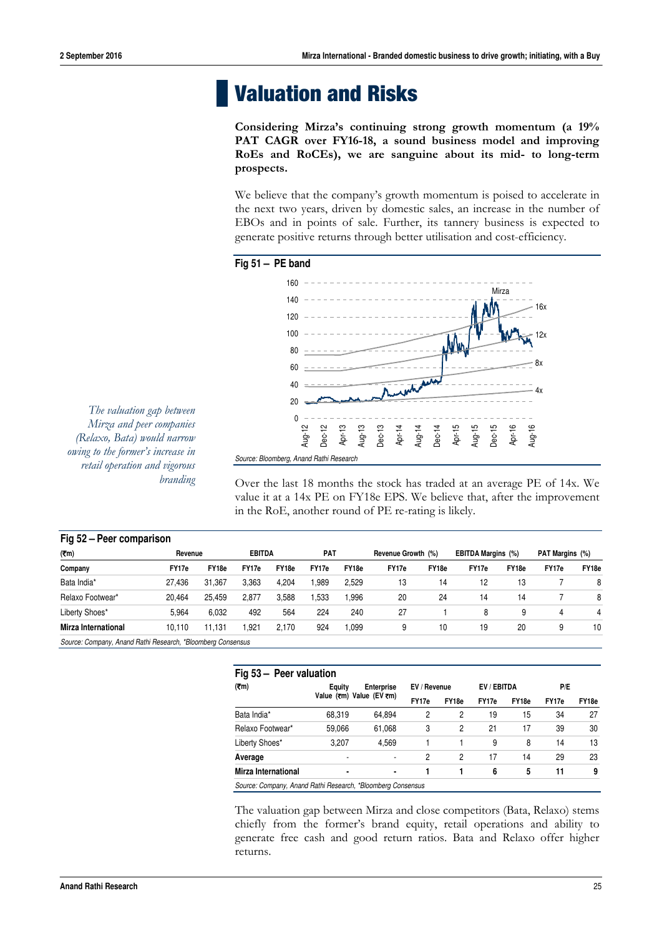# **Valuation and Risks**

**Considering Mirza's continuing strong growth momentum (a 19% PAT CAGR over FY16-18, a sound business model and improving RoEs and RoCEs), we are sanguine about its mid- to long-term prospects.** 

We believe that the company's growth momentum is poised to accelerate in the next two years, driven by domestic sales, an increase in the number of EBOs and in points of sale. Further, its tannery business is expected to generate positive returns through better utilisation and cost-efficiency.





*The valuation gap between Mirza and peer companies (Relaxo, Bata) would narrow owing to the former's increase in retail operation and vigorous branding* 

Over the last 18 months the stock has traded at an average PE of 14x. We value it at a 14x PE on FY18e EPS. We believe that, after the improvement in the RoE, another round of PE re-rating is likely.

| Fig 52 - Peer comparison                                    |         |        |               |       |            |       |                    |       |                           |       |                 |       |
|-------------------------------------------------------------|---------|--------|---------------|-------|------------|-------|--------------------|-------|---------------------------|-------|-----------------|-------|
| (2m)                                                        | Revenue |        | <b>EBITDA</b> |       | <b>PAT</b> |       | Revenue Growth (%) |       | <b>EBITDA Margins (%)</b> |       | PAT Margins (%) |       |
| Company                                                     | FY17e   | FY18e  | FY17e         | FY18e | FY17e      | FY18e | FY17e              | FY18e | FY17e                     | FY18e | FY17e           | FY18e |
| Bata India*                                                 | 27.436  | 31.367 | 3.363         | 4.204 | .989       | 2.529 | 13                 | 14    | 12                        | 13    |                 | 8     |
| Relaxo Footwear*                                            | 20.464  | 25,459 | 2.877         | 3,588 | ,533       | .996  | 20                 | 24    | 14                        | 14    |                 | 8     |
| Liberty Shoes*                                              | 5.964   | 6.032  | 492           | 564   | 224        | 240   | 27                 |       | 8                         | 9     | 4               | 4     |
| <b>Mirza International</b>                                  | 10.110  | 11.131 | .921          | 2.170 | 924        | ,099  | 9                  | 10    | 19                        | 20    | 9               | 10    |
| Source: Company, Anand Rathi Research, *Bloomberg Consensus |         |        |               |       |            |       |                    |       |                           |       |                 |       |

|                                                             | Fig 53 - Peer valuation |                          |              |       |             |       |       |       |  |  |  |  |
|-------------------------------------------------------------|-------------------------|--------------------------|--------------|-------|-------------|-------|-------|-------|--|--|--|--|
| (7m)                                                        | Equity                  | <b>Enterprise</b>        | EV / Revenue |       | EV / EBITDA |       | P/E   |       |  |  |  |  |
|                                                             |                         | Value (₹m) Value (EV ₹m) | FY17e        | FY18e | FY17e       | FY18e | FY17e | FY18e |  |  |  |  |
| Bata India*                                                 | 68,319                  | 64,894                   | 2            | 2     | 19          | 15    | 34    | 27    |  |  |  |  |
| Relaxo Footwear*                                            | 59,066                  | 61,068                   | 3            | 2     | 21          | 17    | 39    | 30    |  |  |  |  |
| Liberty Shoes*                                              | 3.207                   | 4.569                    |              |       | 9           | 8     | 14    | 13    |  |  |  |  |
| Average                                                     | ٠                       |                          | 2            | 2     | 17          | 14    | 29    | 23    |  |  |  |  |
| <b>Mirza International</b>                                  | $\blacksquare$          | $\blacksquare$           |              |       | 6           | 5     | 11    | 9     |  |  |  |  |
| Source: Company, Anand Rathi Research, *Bloomberg Consensus |                         |                          |              |       |             |       |       |       |  |  |  |  |

The valuation gap between Mirza and close competitors (Bata, Relaxo) stems chiefly from the former's brand equity, retail operations and ability to generate free cash and good return ratios. Bata and Relaxo offer higher returns.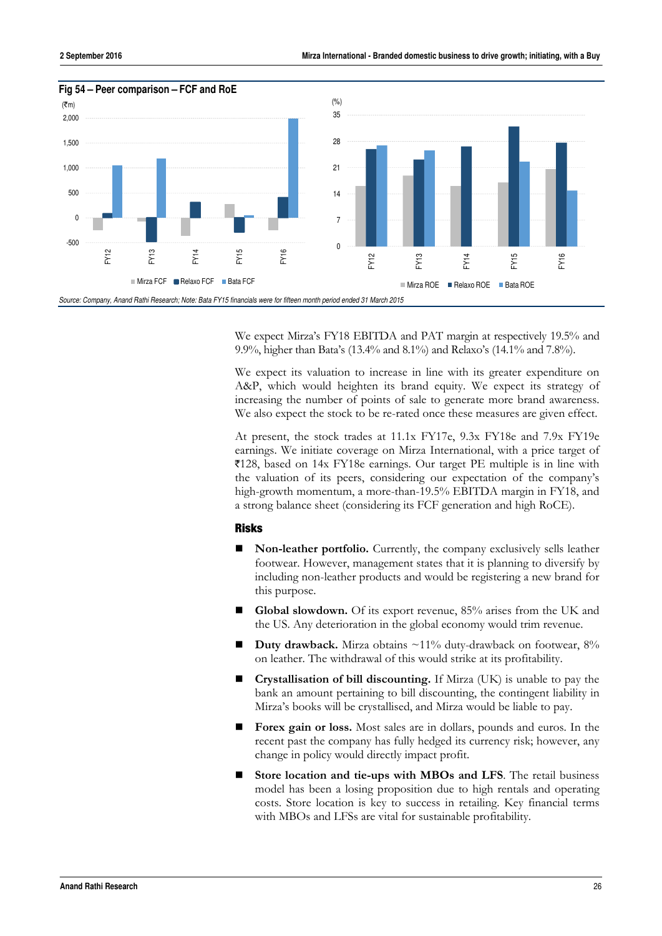

We expect Mirza's FY18 EBITDA and PAT margin at respectively 19.5% and 9.9%, higher than Bata's (13.4% and 8.1%) and Relaxo's (14.1% and 7.8%).

We expect its valuation to increase in line with its greater expenditure on A&P, which would heighten its brand equity. We expect its strategy of increasing the number of points of sale to generate more brand awareness. We also expect the stock to be re-rated once these measures are given effect.

At present, the stock trades at 11.1x FY17e, 9.3x FY18e and 7.9x FY19e earnings. We initiate coverage on Mirza International, with a price target of  $\overline{5128}$ , based on 14x FY18e earnings. Our target PE multiple is in line with the valuation of its peers, considering our expectation of the company's high-growth momentum, a more-than-19.5% EBITDA margin in FY18, and a strong balance sheet (considering its FCF generation and high RoCE).

#### **Risks**

- **Non-leather portfolio.** Currently, the company exclusively sells leather footwear. However, management states that it is planning to diversify by including non-leather products and would be registering a new brand for this purpose.
- **Global slowdown.** Of its export revenue, 85% arises from the UK and the US. Any deterioration in the global economy would trim revenue.
- **Duty drawback.** Mirza obtains ~11% duty-drawback on footwear, 8% on leather. The withdrawal of this would strike at its profitability.
- **Crystallisation of bill discounting.** If Mirza (UK) is unable to pay the bank an amount pertaining to bill discounting, the contingent liability in Mirza's books will be crystallised, and Mirza would be liable to pay.
- **Forex gain or loss.** Most sales are in dollars, pounds and euros. In the recent past the company has fully hedged its currency risk; however, any change in policy would directly impact profit.
- **Store location and tie-ups with MBOs and LFS**. The retail business model has been a losing proposition due to high rentals and operating costs. Store location is key to success in retailing. Key financial terms with MBOs and LFSs are vital for sustainable profitability.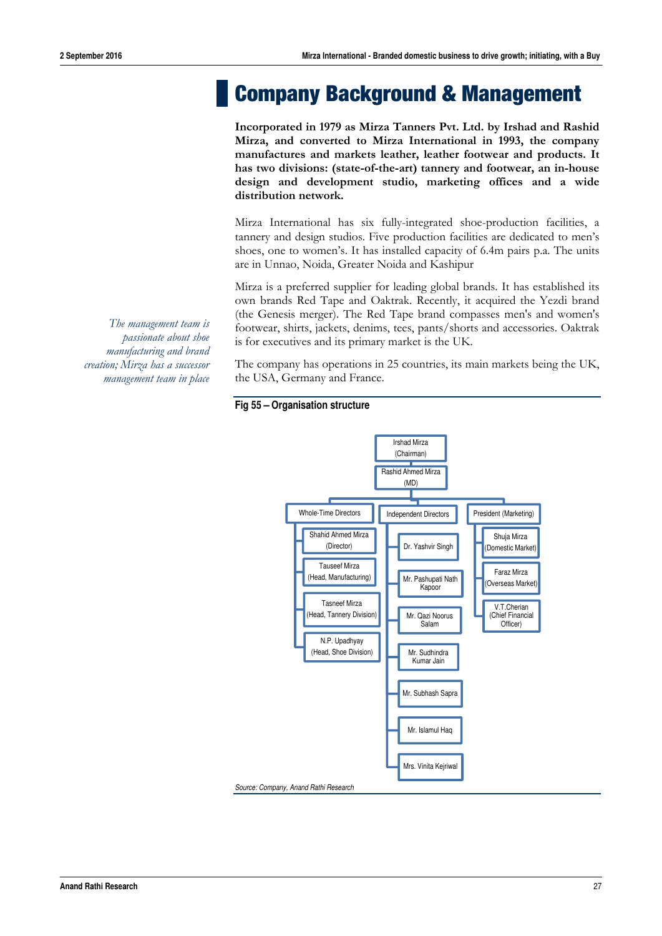## **Company Background & Management**

**Incorporated in 1979 as Mirza Tanners Pvt. Ltd. by Irshad and Rashid Mirza, and converted to Mirza International in 1993, the company manufactures and markets leather, leather footwear and products. It has two divisions: (state-of-the-art) tannery and footwear, an in-house design and development studio, marketing offices and a wide distribution network.** 

Mirza International has six fully-integrated shoe-production facilities, a tannery and design studios. Five production facilities are dedicated to men's shoes, one to women's. It has installed capacity of 6.4m pairs p.a. The units are in Unnao, Noida, Greater Noida and Kashipur

Mirza is a preferred supplier for leading global brands. It has established its own brands Red Tape and Oaktrak. Recently, it acquired the Yezdi brand (the Genesis merger). The Red Tape brand compasses men's and women's footwear, shirts, jackets, denims, tees, pants/shorts and accessories. Oaktrak is for executives and its primary market is the UK.

The company has operations in 25 countries, its main markets being the UK, the USA, Germany and France.

#### **Fig 55 – Organisation structure**



*The management team is passionate about shoe manufacturing and brand creation; Mirza has a successor management team in place*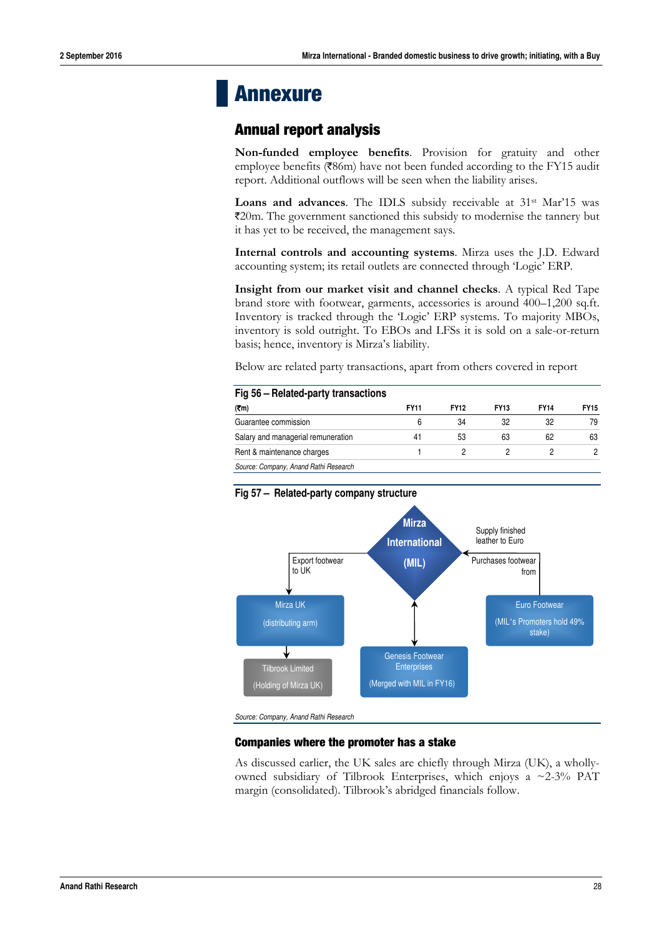### **Annexure**

#### **Annual report analysis**

**Non-funded employee benefits**. Provision for gratuity and other employee benefits (₹86m) have not been funded according to the FY15 audit report. Additional outflows will be seen when the liability arises.

**Loans and advances**. The IDLS subsidy receivable at 31<sup>st</sup> Mar'15 was `20m. The government sanctioned this subsidy to modernise the tannery but it has yet to be received, the management says.

**Internal controls and accounting systems**. Mirza uses the J.D. Edward accounting system; its retail outlets are connected through 'Logic' ERP.

**Insight from our market visit and channel checks**. A typical Red Tape brand store with footwear, garments, accessories is around 400–1,200 sq.ft. Inventory is tracked through the 'Logic' ERP systems. To majority MBOs, inventory is sold outright. To EBOs and LFSs it is sold on a sale-or-return basis; hence, inventory is Mirza's liability.

Below are related party transactions, apart from others covered in report

| Fig 56 – Related-party transactions   |             |             |             |             |             |  |  |  |  |  |  |
|---------------------------------------|-------------|-------------|-------------|-------------|-------------|--|--|--|--|--|--|
| (7m)                                  | <b>FY11</b> | <b>FY12</b> | <b>FY13</b> | <b>FY14</b> | <b>FY15</b> |  |  |  |  |  |  |
| Guarantee commission                  | 6           | 34          | 32          | 32          | 79          |  |  |  |  |  |  |
| Salary and managerial remuneration    | 41          | 53          | 63          | 62          | 63          |  |  |  |  |  |  |
| Rent & maintenance charges            |             |             |             |             | ∩           |  |  |  |  |  |  |
| Source: Company, Anand Rathi Research |             |             |             |             |             |  |  |  |  |  |  |

#### **Fig 57 – Related-party company structure**



*Source: Company, Anand Rathi Research* 

#### **Companies where the promoter has a stake**

As discussed earlier, the UK sales are chiefly through Mirza (UK), a whollyowned subsidiary of Tilbrook Enterprises, which enjoys a  $\sim$ 2-3% PAT margin (consolidated). Tilbrook's abridged financials follow.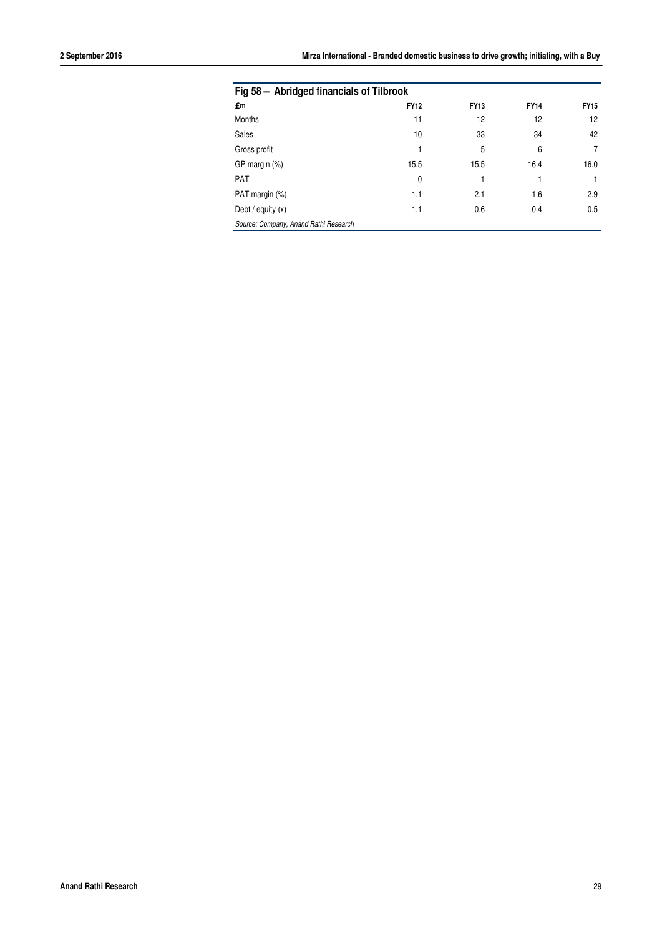| Fig 58 - Abridged financials of Tilbrook |             |             |             |             |  |  |
|------------------------------------------|-------------|-------------|-------------|-------------|--|--|
| £m                                       | <b>FY12</b> | <b>FY13</b> | <b>FY14</b> | <b>FY15</b> |  |  |
| Months                                   | 11          | 12          | 12          | 12          |  |  |
| Sales                                    | 10          | 33          | 34          | 42          |  |  |
| Gross profit                             |             | 5           | 6           | 7           |  |  |
| GP margin (%)                            | 15.5        | 15.5        | 16.4        | 16.0        |  |  |
| <b>PAT</b>                               | 0           |             |             |             |  |  |
| PAT margin (%)                           | 1.1         | 2.1         | 1.6         | 2.9         |  |  |
| Debt / equity $(x)$                      | 1.1         | 0.6         | 0.4         | 0.5         |  |  |
| Source: Company, Anand Rathi Research    |             |             |             |             |  |  |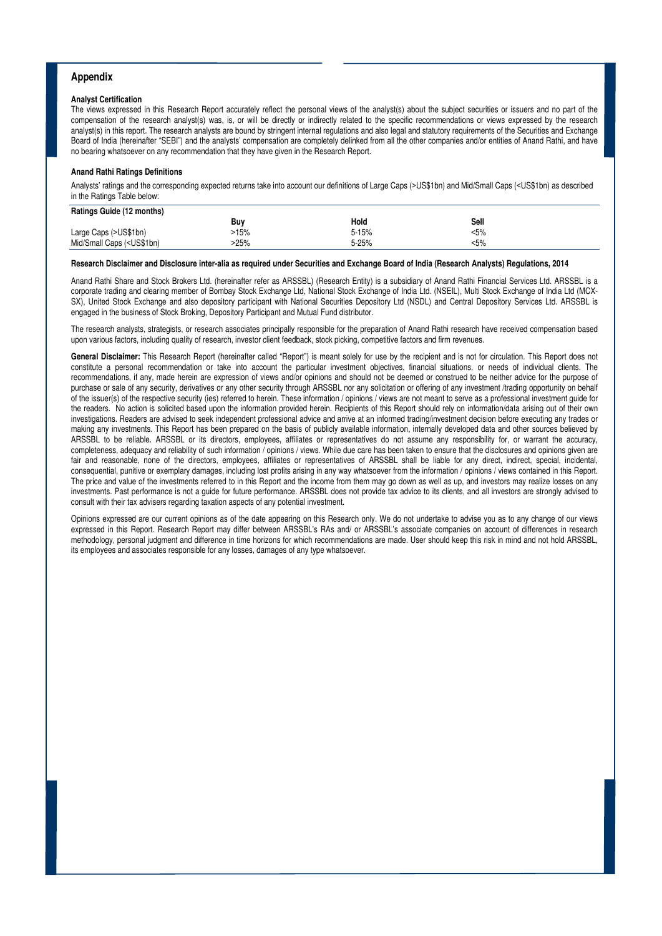#### **Appendix**

#### **Analyst Certification**

The views expressed in this Research Report accurately reflect the personal views of the analyst(s) about the subject securities or issuers and no part of the compensation of the research analyst(s) was, is, or will be directly or indirectly related to the specific recommendations or views expressed by the research analyst(s) in this report. The research analysts are bound by stringent internal regulations and also legal and statutory requirements of the Securities and Exchange Board of India (hereinafter "SEBI") and the analysts' compensation are completely delinked from all the other companies and/or entities of Anand Rathi, and have no bearing whatsoever on any recommendation that they have given in the Research Report.

#### **Anand Rathi Ratings Definitions**

Analysts' ratings and the corresponding expected returns take into account our definitions of Large Caps (>US\$1bn) and Mid/Small Caps (<US\$1bn) as described in the Ratings Table below:

| Ratings Guide (12 months)                                                                                       |      |           |       |  |
|-----------------------------------------------------------------------------------------------------------------|------|-----------|-------|--|
|                                                                                                                 | Buv  | Hold      | Sell  |  |
| Large Caps (>US\$1bn)                                                                                           | >15% | $5 - 15%$ | $5\%$ |  |
| Mid/Small Caps ( <us\$1bn)< td=""><td>25%</td><td><math>5 - 25%</math></td><td>&lt;5%</td><td></td></us\$1bn)<> | 25%  | $5 - 25%$ | <5%   |  |

#### **Research Disclaimer and Disclosure inter-alia as required under Securities and Exchange Board of India (Research Analysts) Regulations, 2014**

Anand Rathi Share and Stock Brokers Ltd. (hereinafter refer as ARSSBL) (Research Entity) is a subsidiary of Anand Rathi Financial Services Ltd. ARSSBL is a corporate trading and clearing member of Bombay Stock Exchange Ltd, National Stock Exchange of India Ltd. (NSEIL), Multi Stock Exchange of India Ltd (MCX-SX), United Stock Exchange and also depository participant with National Securities Depository Ltd (NSDL) and Central Depository Services Ltd. ARSSBL is engaged in the business of Stock Broking, Depository Participant and Mutual Fund distributor.

The research analysts, strategists, or research associates principally responsible for the preparation of Anand Rathi research have received compensation based upon various factors, including quality of research, investor client feedback, stock picking, competitive factors and firm revenues.

**General Disclaimer:** This Research Report (hereinafter called "Report") is meant solely for use by the recipient and is not for circulation. This Report does not constitute a personal recommendation or take into account the particular investment objectives, financial situations, or needs of individual clients. The recommendations, if any, made herein are expression of views and/or opinions and should not be deemed or construed to be neither advice for the purpose of purchase or sale of any security, derivatives or any other security through ARSSBL nor any solicitation or offering of any investment /trading opportunity on behalf of the issuer(s) of the respective security (ies) referred to herein. These information / opinions / views are not meant to serve as a professional investment guide for the readers. No action is solicited based upon the information provided herein. Recipients of this Report should rely on information/data arising out of their own investigations. Readers are advised to seek independent professional advice and arrive at an informed trading/investment decision before executing any trades or making any investments. This Report has been prepared on the basis of publicly available information, internally developed data and other sources believed by ARSSBL to be reliable. ARSSBL or its directors, employees, affiliates or representatives do not assume any responsibility for, or warrant the accuracy, completeness, adequacy and reliability of such information / opinions / views. While due care has been taken to ensure that the disclosures and opinions given are fair and reasonable, none of the directors, employees, affiliates or representatives of ARSSBL shall be liable for any direct, indirect, special, incidental, consequential, punitive or exemplary damages, including lost profits arising in any way whatsoever from the information / opinions / views contained in this Report. The price and value of the investments referred to in this Report and the income from them may go down as well as up, and investors may realize losses on any investments. Past performance is not a guide for future performance. ARSSBL does not provide tax advice to its clients, and all investors are strongly advised to consult with their tax advisers regarding taxation aspects of any potential investment.

Opinions expressed are our current opinions as of the date appearing on this Research only. We do not undertake to advise you as to any change of our views expressed in this Report. Research Report may differ between ARSSBL's RAs and/ or ARSSBL's associate companies on account of differences in research methodology, personal judgment and difference in time horizons for which recommendations are made. User should keep this risk in mind and not hold ARSSBL, its employees and associates responsible for any losses, damages of any type whatsoever.